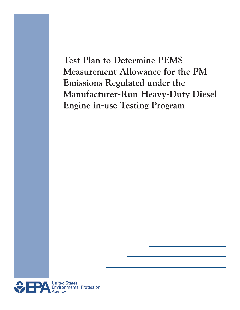**Test Plan to Determine PEMS Measurement Allowance for the PM Emissions Regulated under the Manufacturer**-**Run Heavy**-**Duty Diesel Engine in**-**use Testing Program** 

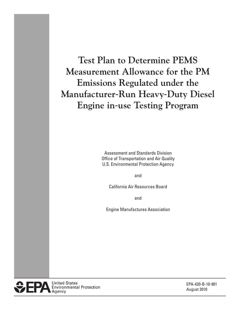**Test Plan to Determine PEMS Measurement Allowance for the PM Emissions Regulated under the Manufacturer**-**Run Heavy**-**Duty Diesel Engine in**-**use Testing Program** 

> Assessment and Standards Division Office of Transportation and Air Quality U.S. Environmental Protection Agency

> > and

California Air Resources Board

and

Engine Manufactures Association



EPA-420-B-10-901 August 2010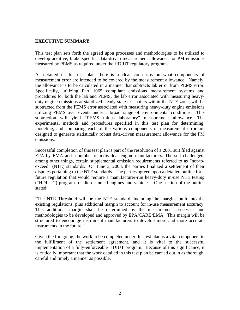#### <span id="page-2-0"></span>**EXECUTIVE SUMMARY**

This test plan sets forth the agreed upon processes and methodologies to be utilized to develop additive, brake-specific, data-driven measurement allowance for PM emissions measured by PEMS as required under the HDIUT regulatory program.

As detailed in this test plan, there is a clear consensus on what components of measurement error are intended to be covered by the measurement allowance. Namely, the allowance is to be calculated in a manner that subtracts lab error from PEMS error. Specifically, utilizing Part 1065 compliant emissions measurement systems and procedures for both the lab and PEMS, the lab error associated with measuring heavyduty engine emissions at stabilized steady-state test points within the NTE zone, will be subtracted from the PEMS error associated with measuring heavy-duty engine emissions utilizing PEMS over events under a broad range of environmental conditions. This subtraction will yield "PEMS minus laboratory" measurement allowance. The experimental methods and procedures specified in this test plan for determining, modeling, and comparing each of the various components of measurement error are designed to generate statistically robust data-driven measurement allowance for the PM emissions.

Successful completion of this test plan is part of the resolution of a 2001 suit filed against EPA by EMA and a number of individual engine manufacturers. The suit challenged, among other things, certain supplemental emission requirements referred to as "not-toexceed" (NTE) standards. On June 3, 2003, the parties finalized a settlement of their disputes pertaining to the NTE standards. The parties agreed upon a detailed outline for a future regulation that would require a manufacturer-run heavy-duty in-use NTE testing ("HDIUT") program for diesel-fueled engines and vehicles. One section of the outline stated:

"The NTE Threshold will be the NTE standard, including the margins built into the existing regulations, plus additional margin to account for in-use measurement accuracy. This additional margin shall be determined by the measurement processes and methodologies to be developed and approved by EPA/CARB/EMA. This margin will be structured to encourage instrument manufacturers to develop more and more accurate instruments in the future."

Given the foregoing, the work to be completed under this test plan is a vital component to the fulfillment of the settlement agreement, and it is vital to the successful implementation of a fully-enforceable HDIUT program. Because of this significance, it is critically important that the work detailed in this test plan be carried out in as thorough, careful and timely a manner as possible.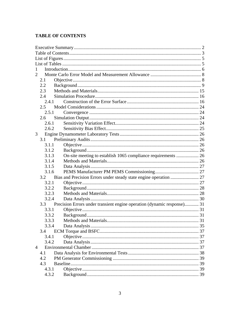# <span id="page-3-0"></span>**TABLE OF CONTENTS**

| 1              |       |                                                                         |  |  |
|----------------|-------|-------------------------------------------------------------------------|--|--|
| 2              |       |                                                                         |  |  |
|                | 2.1   |                                                                         |  |  |
|                | 2.2   |                                                                         |  |  |
|                | 2.3   |                                                                         |  |  |
|                | 2.4   |                                                                         |  |  |
|                | 2.4.1 |                                                                         |  |  |
|                | 2.5   |                                                                         |  |  |
|                | 2.5.1 |                                                                         |  |  |
|                | 2.6   |                                                                         |  |  |
|                | 2.6.1 |                                                                         |  |  |
|                | 2.6.2 |                                                                         |  |  |
| 3              |       |                                                                         |  |  |
|                | 3.1   |                                                                         |  |  |
|                | 3.1.1 |                                                                         |  |  |
|                | 3.1.2 |                                                                         |  |  |
|                | 3.1.3 | On-site meeting to establish 1065 compliance requirements  26           |  |  |
|                | 3.1.4 |                                                                         |  |  |
|                | 3.1.5 |                                                                         |  |  |
|                | 3.1.6 |                                                                         |  |  |
|                | 3.2   |                                                                         |  |  |
|                | 3.2.1 |                                                                         |  |  |
|                | 3.2.2 |                                                                         |  |  |
|                | 3.2.3 |                                                                         |  |  |
|                | 3.2.4 |                                                                         |  |  |
|                | 3.3   | Precision Errors under transient engine operation (dynamic response) 31 |  |  |
|                | 3.3.1 |                                                                         |  |  |
|                | 3.3.2 |                                                                         |  |  |
|                | 3.3.3 |                                                                         |  |  |
|                | 3.3.4 |                                                                         |  |  |
|                | 3.4   |                                                                         |  |  |
|                | 3.4.1 |                                                                         |  |  |
|                | 3.4.2 |                                                                         |  |  |
| $\overline{4}$ |       |                                                                         |  |  |
|                | 4.1   |                                                                         |  |  |
|                | 4.2   |                                                                         |  |  |
|                | 4.3   |                                                                         |  |  |
|                | 4.3.1 |                                                                         |  |  |
|                | 4.3.2 |                                                                         |  |  |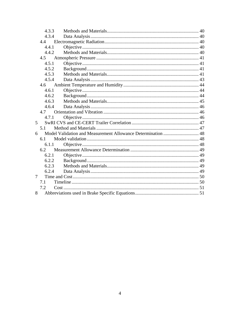| 4.3.3 |  |
|-------|--|
| 4.3.4 |  |
| 4.4   |  |
| 4.4.1 |  |
| 4.4.2 |  |
| 4.5   |  |
| 4.5.1 |  |
| 4.5.2 |  |
| 4.5.3 |  |
| 4.5.4 |  |
| 4.6   |  |
| 4.6.1 |  |
| 4.6.2 |  |
| 4.6.3 |  |
| 4.6.4 |  |
| 4.7   |  |
| 4.7.1 |  |
| 5     |  |
| 5.1   |  |
| 6     |  |
| 6.1   |  |
| 6.1.1 |  |
| 6.2   |  |
| 6.2.1 |  |
| 6.2.2 |  |
| 6.2.3 |  |
| 6.2.4 |  |
| 7     |  |
| 7.1   |  |
| 7.2   |  |
| 8     |  |
|       |  |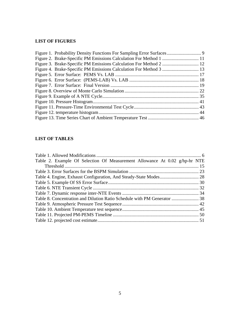# <span id="page-5-0"></span>**LIST OF FIGURES**

# <span id="page-5-1"></span>**LIST OF TABLES**

| Table 2. Example Of Selection Of Measurement Allowance At 0.02 g/hp-hr NTE |  |
|----------------------------------------------------------------------------|--|
|                                                                            |  |
|                                                                            |  |
|                                                                            |  |
|                                                                            |  |
|                                                                            |  |
|                                                                            |  |
|                                                                            |  |
|                                                                            |  |
|                                                                            |  |
|                                                                            |  |
|                                                                            |  |
|                                                                            |  |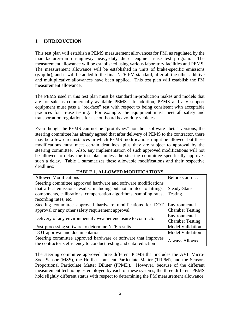# <span id="page-6-0"></span>**1 INTRODUCTION**

This test plan will establish a PEMS measurement allowances for PM, as regulated by the manufacturer-run on-highway heavy-duty diesel engine in-use test program. The measurement allowance will be established using various laboratory facilities and PEMS. The measurement allowance will be established in units of brake-specific emissions (g/hp-hr), and it will be added to the final NTE PM standard, after all the other additive and multiplicative allowances have been applied. This test plan will establish the PM measurement allowance.

The PEMS used in this test plan must be standard in-production makes and models that are for sale as commercially available PEMS. In addition, PEMS and any support equipment must pass a "red-face" test with respect to being consistent with acceptable practices for in-use testing. For example, the equipment must meet all safety and transportation regulations for use on-board heavy-duty vehicles.

Even though the PEMS can not be "prototypes" nor their software "beta" versions, the steering committee has already agreed that after delivery of PEMS to the contractor, there may be a few circumstances in which PEMS modifications might be allowed, but these modifications must meet certain deadlines, plus they are subject to approval by the steering committee. Also, any implementation of such approved modifications will not be allowed to delay the test plan, unless the steering committee specifically approves such a delay. Table 1 summarizes these allowable modifications and their respective deadlines:

<span id="page-6-1"></span>

| <b>Allowed Modifications</b>                                                                                                        | Before start of         |
|-------------------------------------------------------------------------------------------------------------------------------------|-------------------------|
| Steering committee approved hardware and software modifications                                                                     |                         |
| that affect emissions results; including but not limited to fittings,                                                               | Steady-State            |
| components, calibrations, compensation algorithms, sampling rates,                                                                  | Testing                 |
| recording rates, etc.                                                                                                               |                         |
| Steering committee approved hardware modifications for DOT                                                                          | Environmental           |
| approval or any other safety requirement approval                                                                                   | <b>Chamber Testing</b>  |
| Delivery of any environmental / weather enclosure to contractor                                                                     | Environmental           |
|                                                                                                                                     | <b>Chamber Testing</b>  |
| Post-processing software to determine NTE results                                                                                   | <b>Model Validation</b> |
| DOT approval and documentation                                                                                                      | <b>Model Validation</b> |
| Steering committee approved hardware or software that improves<br>the contractor's efficiency to conduct testing and data reduction | Always Allowed          |

#### **TABLE 1. ALLOWED MODIFICATIONS**

hold slightly different status with respect to determining the PM measurement allowance.<br>6 The steering committee approved three different PEMS that includes the AVL Micro-Soot Sensor (MSS), the Horiba Transient Particulate Matter (TRPM), and the Sensors Proportional Particulate Matter Diluter (PPMD). However, because of the different measurement technologies employed by each of these systems, the three different PEMS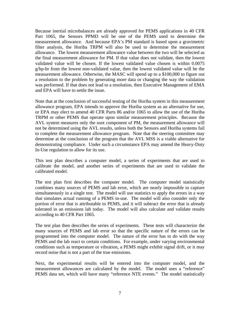Because inertial microbalances are already approved for PEMS applications in 40 CFR Part 1065, the Sensors PPMD will be one of the PEMS used to determine the measurement allowance. And because EPA's PM standard is based upon a gravimetric filter analysis, the Horiba TRPM will also be used to determine the measurement allowance. The lowest measurement allowance value between the two will be selected as the final measurement allowance for PM. If that value does not validate, then the lowest validated value will be chosen. If the lowest validated value chosen is within 0.0075 g/hp-hr from the lowest non-validated value, then the lowest validated value will be the measurement allowance. Otherwise, the MASC will spend up to a \$100,000 to figure out a resolution to the problem by generating more data or changing the way the validation was performed. If that does not lead to a resolution, then Executive Management of EMA and EPA will have to settle the issue.

Note that at the conclusion of successful testing of the Horiba system in this measurement allowance program, EPA intends to approve the Horiba system as an alternative for use, or EPA may elect to amend 40 CFR Parts 86 and/or 1065 to allow the use of the Horiba TRPM or other PEMS that operate upon similar measurement principles. Because the AVL system measures only the soot component of PM, the measurement allowance will not be determined using the AVL results, unless both the Sensors and Horiba systems fail to complete the measurement allowance program. Note that the steering committee may determine at the conclusion of the program that the AVL MSS is a viable alternative for demonstrating compliance. Under such a circumstance EPA may amend the Heavy-Duty In-Use regulation to allow for its use.

This test plan describes a computer model, a series of experiments that are used to calibrate the model, and another series of experiments that are used to validate the calibrated model.

The test plan first describes the computer model. The computer model statistically combines many sources of PEMS and lab error, which are nearly impossible to capture simultaneously in a single test. The model will use statistics to apply the errors in a way that simulates actual running of a PEMS in-use. The model will also consider only the portion of error that is attributable to PEMS, and it will subtract the error that is already tolerated in an emissions lab today. The model will also calculate and validate results according to 40 CFR Part 1065.

The test plan then describes the series of experiments. These tests will characterize the many sources of PEMS and lab error so that the specific nature of the errors can be programmed into the computer model. The nature of the error has to do with the way PEMS and the lab react to certain conditions. For example, under varying environmental conditions such as temperature or vibration, a PEMS might exhibit signal drift, or it may record noise that is not a part of the true emissions.

Next, the experimental results will be entered into the computer model, and the measurement allowances are calculated by the model. The model uses a "reference" PEMS data set, which will have many "reference NTE events." The model statistically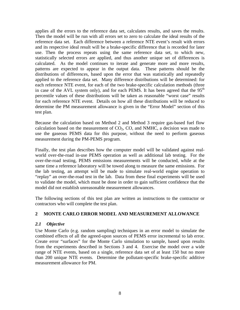applies all the errors to the reference data set, calculates results, and saves the results. Then the model will be run with all errors set to zero to calculate the ideal results of the reference data set. Each difference between a reference NTE event's result with errors and its respective ideal result will be a brake-specific difference that is recorded for later use. Then the process repeats using the same reference data set, to which new, statistically selected errors are applied, and thus another unique set of differences is calculated. As the model continues to iterate and generate more and more results, patterns are expected to appear in the output data. These patterns should be the distributions of differences, based upon the error that was statistically and repeatedly applied to the reference data set. Many difference distributions will be determined: for each reference NTE event, for each of the two brake-specific calculation methods (three in case of the AVL system only), and for each PEMS. It has been agreed that the  $95<sup>th</sup>$ percentile values of these distributions will be taken as reasonable "worst case" results for each reference NTE event. Details on how all these distributions will be reduced to determine the PM measurement allowance is given in the "Error Model" section of this test plan.

Because the calculation based on Method 2 and Method 3 require gas-based fuel flow calculation based on the measurement of  $CO<sub>2</sub>$ ,  $CO$ , and NMHC, a decision was made to use the gaseous PEMS data for this purpose, without the need to perform gaseous measurement during the PM-PEMS program.

Finally, the test plan describes how the computer model will be validated against realworld over-the-road in-use PEMS operation as well as additional lab testing. For the over-the-road testing, PEMS emissions measurements will be conducted, while at the same time a reference laboratory will be towed along to measure the same emissions. For the lab testing, an attempt will be made to simulate real-world engine operation to "replay" an over-the-road test in the lab. Data from these final experiments will be used to validate the model, which must be done in order to gain sufficient confidence that the model did not establish unreasonable measurement allowances.

The following sections of this test plan are written as instructions to the contractor or contractors who will complete the test plan.

# <span id="page-8-0"></span>**2 MONTE CARLO ERROR MODEL AND MEASUREMENT ALLOWANCE**

# <span id="page-8-1"></span>*2.1 Objective*

Use Monte Carlo (e.g. random sampling) techniques in an error model to simulate the combined effects of all the agreed-upon sources of PEMS error incremental to lab error. Create error "surfaces" for the Monte Carlo simulation to sample, based upon results from the experiments described in Sections 3 and 4. Exercise the model over a wide range of NTE events, based on a single, reference data set of at least 150 but no more than 200 unique NTE events. Determine the pollutant-specific brake-specific additive measurement allowance for PM.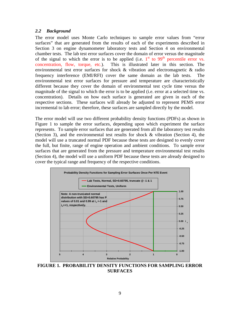## <span id="page-9-0"></span>*2.2 Background*

The error model uses Monte Carlo techniques to sample error values from "error surfaces" that are generated from the results of each of the experiments described in Section 3 on engine dynamometer laboratory tests and Section 4 on environmental chamber tests. The lab test error surfaces cover the domain of error versus the magnitude of the signal to which the error is to be applied (i.e.  $1<sup>st</sup>$  to 99<sup>th</sup> percentile error vs. concentration, flow, torque, etc.). This is illustrated later in this section. The environmental test error surfaces for shock & vibration and electromagnetic & radio frequency interference (EMI/RFI) cover the same domain as the lab tests. environmental test error surfaces for pressure and temperature are characteristically different because they cover the domain of environmental test cycle time versus the magnitude of the signal to which the error is to be applied (i.e. error at a selected time vs. concentration). Details on how each surface is generated are given in each of the respective sections. These surfaces will already be adjusted to represent PEMS error incremental to lab error; therefore, these surfaces are sampled directly by the model.

The error model will use two different probability density functions (PDFs) as shown in [Figure 1](#page-9-1) to sample the error surfaces, depending upon which experiment the surface represents. To sample error surfaces that are generated from all the laboratory test results (Section 3), and the environmental test results for shock & vibration (Section 4), the model will use a truncated normal PDF because these tests are designed to evenly cover the full, but finite, range of engine operation and ambient conditions. To sample error surfaces that are generated from the pressure and temperature environmental test results (Section 4), the model will use a uniform PDF because these tests are already designed to cover the typical range and frequency of the respective conditions.



<span id="page-9-1"></span>**FIGURE 1. PROBABILITY DENSITY FUNCTIONS FOR SAMPLING ERROR SURFACES**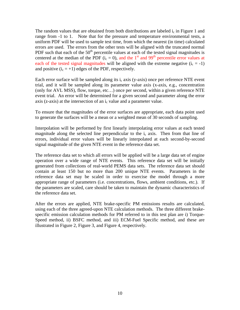The random values that are obtained from both distributions are labeled  $i_c$  in Figure 1 and range from -1 to 1. Note that for the pressure and temperature environmental tests, a uniform PDF will be used to sample test time, from which the nearest (in time) calculated errors are used. The errors from the other tests will be aligned with the truncated normal PDF such that each of the  $50<sup>th</sup>$  percentile values at each of the tested signal magnitudes is centered at the median of the PDF ( $i_c = 0$ ), and the 1<sup>st</sup> and 99<sup>th</sup> percentile error values at each of the tested signal magnitudes will be aligned with the extreme negative  $(i_c = -1)$ and positive  $(i_c = +1)$  edges of the PDF, respectively.

Each error surface will be sampled along its  $i_c$  axis (y-axis) once per reference NTE event trial, and it will be sampled along its parameter value axis (x-axis, e.g., concentration (only for AVL MSS), flow, torque, etc…) once per second, within a given reference NTE event trial. An error will be determined for a given second and parameter along the error axis ( $z$ -axis) at the intersection of an  $i<sub>c</sub>$  value and a parameter value.

To ensure that the magnitudes of the error surfaces are appropriate, each data point used to generate the surfaces will be a mean or a weighted mean of 30 seconds of sampling.

Interpolation will be performed by first linearly interpolating error values at each tested magnitude along the selected line perpendicular to the  $i<sub>c</sub>$  axis. Then from that line of errors, individual error values will be linearly interpolated at each second-by-second signal magnitude of the given NTE event in the reference data set.

The reference data set to which all errors will be applied will be a large data set of engine operation over a wide range of NTE events. This reference data set will be initially generated from collections of real-world PEMS data sets. The reference data set should contain at least 150 but no more than 200 unique NTE events. Parameters in the reference data set may be scaled in order to exercise the model through a more appropriate range of parameters (i.e. concentrations, flows, ambient conditions, etc.). If the parameters are scaled, care should be taken to maintain the dynamic characteristics of the reference data set.

After the errors are applied, NTE brake-specific PM emissions results are calculated, using each of the three agreed-upon NTE calculation methods. The three different brakespecific emission calculation methods for PM referred to in this test plan are i) Torque-Speed method, ii) BSFC method, and iii) ECM-Fuel Specific method, and these are illustrated in Figure 2, [Figure 3,](#page-12-0) and [Figure 4,](#page-13-0) respectively.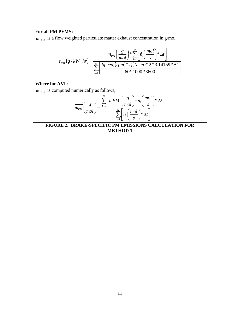# **For all PM PEMS:**

 $\overline{m_{PM}}$  is a flow weighted particulate matter exhaust concentration in g/mol

$$
e_{PM}\left(g/kW \cdot hr\right) = \frac{\overline{m_{PM}}\left(\frac{g}{mol}\right) * \sum_{i=1}^{N} \left[n_i\left(\frac{mol}{s}\right) * \Delta t\right]}{\sum_{i=1}^{N} \left[\frac{Speed_i(rpm) * T_i(N \cdot m) * 2 * 3.14159 * \Delta t}{60 * 1000 * 3600}\right]}
$$

# **Where for AVL:**

 $\overline{m_{PM}}$  is computed numerically as follows,

$$
\overline{m_{PM}}\left(\frac{g}{mol}\right) = \frac{\sum_{i=1}^{N} \left[ mPM_i \left(\frac{g}{mol}\right) * \dot{n}_i \left(\frac{mol}{s}\right) * \Delta t \right]}{\sum_{i=1}^{N} \left[ \dot{n}_i \left(\frac{mol}{s}\right) * \Delta t \right]}
$$

<span id="page-11-0"></span>**FIGURE 2. BRAKE-SPECIFIC PM EMISSIONS CALCULATION FOR METHOD 1**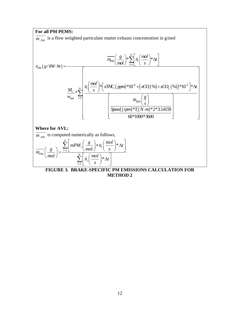

<span id="page-12-0"></span>**METHOD 2**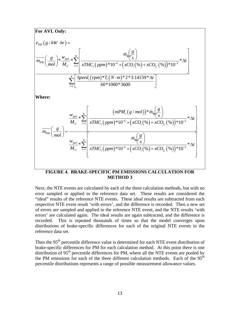

### **FIGURE 4. BRAKE-SPECIFIC PM EMISSIONS CALCULATION FOR METHOD 3**

<span id="page-13-0"></span>Next, the NTE events are calculated by each of the three calculation methods, but with no error sampled or applied to the reference data set. These results are considered the "ideal" results of the reference NTE events. These ideal results are subtracted from each respective NTE event result 'with errors', and the difference is recorded. Then a new set of errors are sampled and applied to the reference NTE event, and the NTE results 'with errors' are calculated again. The ideal results are again subtracted, and the difference is recorded. This is repeated thousands of times so that the model converges upon distributions of brake-specific differences for each of the original NTE events in the reference data set.

Then the 95<sup>th</sup> percentile difference value is determined for each NTE event distribution of brake-specific differences for PM for each calculation method. At this point there is one distribution of  $95<sup>th</sup>$  percentile differences for PM, where all the NTE events are pooled by the PM emissions for each of the three different calculation methods. Each of the  $95<sup>th</sup>$ percentile distributions represents a range of possible measurement allowance values.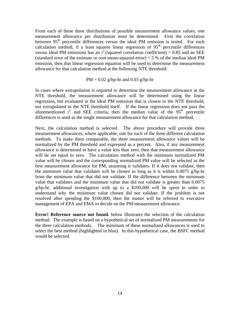From each of these three distributions of possible measurement allowance values, one measurement allowance per distribution must be determined. First the correlation between  $95<sup>th</sup>$  percentile differences versus the ideal PM emission is tested. For each calculation method, if a least squares linear regression of  $95<sup>th</sup>$  percentile differences versus ideal PM emissions has an  $r^2$  (squared correlation coefficient) > 0.85 and an SEE (standard error of the estimate or root-mean-squared-error)  $<$  5 % of the median ideal PM emission, then that linear regression equation will be used to determine the measurement allowance for that calculation method at the following NTE threshold:

#### $PM = 0.02$  g/hp-hr and 0.03 g/hp-hr

In cases where extrapolation is required to determine the measurement allowance at the NTE threshold, the measurement allowance will be determined using the linear regression, but evaluated at the ideal PM emission that is closest to the NTE threshold, not extrapolated to the NTE threshold itself. If the linear regression does not pass the aforementioned  $r^2$  and SEE criteria, then the median value of the 95<sup>th</sup> percentile differences is used as the single measurement allowance for that calculation method.

Next, the calculation method is selected. The above procedure will provide three measurement allowances, where applicable, one for each of the three different calculation methods. To make them comparable, the three measurement allowance values will be normalized by the PM threshold and expressed as a percent. Also, if any measurement allowance is determined to have a value less than zero, then that measurement allowance will be set equal to zero. The calculation method with the minimum normalized PM value will be chosen and the corresponding normalized PM value will be selected as the best measurement allowance for PM, assuming it validates. If it does not validate, then the minimum value that validates will be chosen as long as it is within  $0.0075$  g/hp-hr from the minimum value that did not validate. If the difference between the minimum value that validates and the minimum value that did not validate is greater than 0.0075 g/hp-hr, additional investigation with up to a \$100,000 will be spent in order to understand why the minimum value chosen did not validate. If the problem is not resolved after spending the \$100,000, then the matter will be referred to executive management of EPA and EMA to decide on the PM measurement allowance.

**Error! Reference source not found.** below illustrates the selection of the calculation method. The example is based on a hypothetical set of normalized PM measurements for the three calculation methods. The minimum of these normalized allowances is used to select the best method (highlighted in blue). In this hypothetical case, the BSFC method would be selected.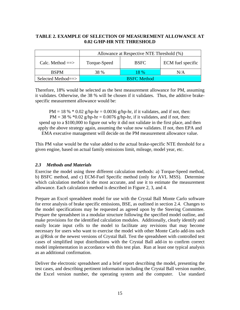# <span id="page-15-1"></span>**TABLE 2. EXAMPLE OF SELECTION OF MEASUREMENT ALLOWANCE AT 0.02 G/HP-HR NTE THRESHOLD**

|                    | Allowance at Respective NTE Threshold (%) |             |                   |
|--------------------|-------------------------------------------|-------------|-------------------|
| Calc. Method $==>$ | Torque-Speed                              | <b>BSFC</b> | ECM fuel specific |
| <b>BSPM</b>        | 38 %                                      | 18 %        | N/A               |
| Selected Method==> | <b>BSFC</b> Method                        |             |                   |

Therefore, 18% would be selected as the best measurement allowance for PM, assuming it validates. Otherwise, the 38 % will be chosen if it validates. Thus, the additive brakespecific measurement allowance would be:

 $PM = 18 % * 0.02 g/hp-hr = 0.0036 g/hp-hr$ , if it validates, and if not, then: PM = 38 %  $*0.02$  g/hp-hr = 0.0076 g/hp-hr, if it validates, and if not, then: spend up to a \$100,000 to figure out why it did not validate in the first place, and then apply the above strategy again, assuming the value now validates. If not, then EPA and EMA executive management will decide on the PM measurement allowance value.

This PM value would be the value added to the actual brake-specific NTE threshold for a given engine, based on actual family emissions limit, mileage, model year, etc.

# <span id="page-15-0"></span>*2.3 Methods and Materials*

Exercise the model using three different calculation methods: a) Torque-Speed method, b) BSFC method, and c) ECM-Fuel Specific method (only for AVL MSS). Determine which calculation method is the most accurate, and use it to estimate the measurement allowance. Each calculation method is described in [Figure 2,](#page-11-0) 3, and 4.

Prepare an Excel spreadsheet model for use with the Crystal Ball Monte Carlo software for error analysis of brake specific emissions, BSE, as outlined in section 2.4. Changes to the model specifications may be requested as agreed upon by the Steering Committee. Prepare the spreadsheet in a modular structure following the specified model outline, and make provisions for the identified calculation modules. Additionally, clearly identify and easily locate input cells to the model to facilitate any revisions that may become necessary for users who want to exercise the model with other Monte Carlo add-ins such as @Risk or the newest versions of Crystal Ball. Test the spreadsheet with controlled test cases of simplified input distributions with the Crystal Ball add-in to confirm correct model implementation in accordance with this test plan. Run at least one typical analysis as an additional confirmation.

Deliver the electronic spreadsheet and a brief report describing the model, presenting the test cases, and describing pertinent information including the Crystal Ball version number, the Excel version number, the operating system and the computer. Use standard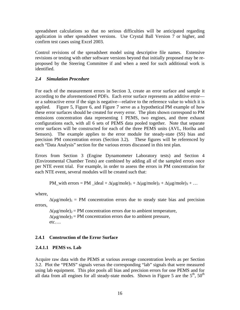spreadsheet calculations so that no serious difficulties will be anticipated regarding application in other spreadsheet versions. Use Crystal Ball Version 7 or higher, and confirm test cases using Excel 2003.

Control revisions of the spreadsheet model using descriptive file names. Extensive revisions or testing with other software versions beyond that initially proposed may be reproposed by the Steering Committee if and when a need for such additional work is identified.

# <span id="page-16-0"></span>*2.4 Simulation Procedure*

For each of the measurement errors in Section 3, create an error surface and sample it according to the aforementioned PDFs. Each error surface represents an additive error or a subtractive error if the sign is negative—relative to the reference value to which it is applied. Figure 5, Figure 6, and Figure 7 serve as a hypothetical PM example of how these error surfaces should be created for every error. The plots shown correspond to PM emissions concentration data representing 1 PEMS, two engines, and three exhaust configurations each, with all 6 sets of PEMS data pooled together. Note that separate error surfaces will be constructed for each of the three PEMS units (AVL, Horiba and Sensors). The example applies to the error module for steady-state (SS) bias and precision PM concentration errors (Section 3.2). These figures will be referenced by each "Data Analysis" section for the various errors discussed in this test plan.

Errors from Section 3 (Engine Dynamometer Laboratory tests) and Section 4 (Environmental Chamber Tests) are combined by adding all of the sampled errors once per NTE event trial. For example, in order to assess the errors in PM concentration for each NTE event, several modules will be created such that:

PM\_with errors = PM\_ideal +  $\Delta(\mu g/mole)_1 + \Delta(\mu g/mole)_2 + \Delta(\mu g/mole)_3 + ...$ 

where,

 $\Delta(\mu g/mole)_1$  = PM concentration errors due to steady state bias and precision errors,

 $\Delta(\mu g/mole)_2$  = PM concentration errors due to ambient temperature,  $\Delta(\mu g/mole)_{3}$  = PM concentration errors due to ambient pressure, etc….

# <span id="page-16-1"></span>**2.4.1 Construction of the Error Surface**

# **2.4.1.1 PEMS vs. Lab**

Acquire raw data with the PEMS at various average concentration levels as per Section 3.2. Plot the "PEMS" signals versus the corresponding "lab" signals that were measured using lab equipment. This plot pools all bias and precision errors for one PEMS and for all data from all engines for all steady-state modes. Shown in Figure 5 are the  $5<sup>th</sup>$ ,  $50<sup>th</sup>$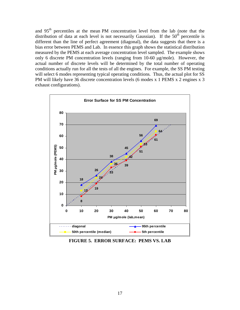and 95th percentiles at the mean PM concentration level from the lab (note that the distribution of data at each level is not necessarily Gaussian). If the  $50<sup>th</sup>$  percentile is different than the line of perfect agreement (diagonal), the data suggests that there is a bias error between PEMS and Lab. In essence this graph shows the statistical distribution measured by the PEMS at each average concentration level sampled. The example shows only 6 discrete PM concentration levels (ranging from 10-60 μg/mole). However, the actual number of discrete levels will be determined by the total number of operating conditions actually run for all the tests of all the engines. For example, the SS PM testing will select 6 modes representing typical operating conditions. Thus, the actual plot for SS PM will likely have 36 discrete concentration levels (6 modes x 1 PEMS x 2 engines x 3 exhaust configurations).



<span id="page-17-0"></span>**FIGURE 5. ERROR SURFACE: PEMS VS. LAB**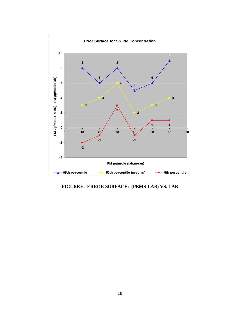

<span id="page-18-0"></span>**FIGURE 6. ERROR SURFACE: (PEMS-LAB) VS. LAB**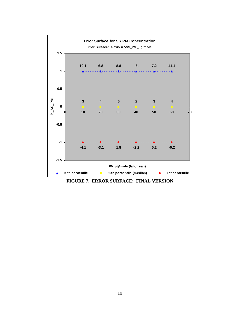

<span id="page-19-0"></span>**FIGURE 7. ERROR SURFACE: FINAL VERSION**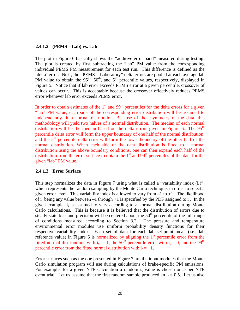#### **2.4.1.2 (PEMS – Lab) vs. Lab**

The plot in Figure 6 basically shows the "additive error band" measured during testing. The plot is created by first subtracting the "lab" PM value from the corresponding individual PEMS PM measurement for each test run. This difference is defined as the 'delta' error. Next, the "PEMS – Laboratory" delta errors are pooled at each average lab PM value to obtain the  $95<sup>th</sup>$ ,  $50<sup>th</sup>$ , and  $5<sup>th</sup>$  percentile values, respectively, displayed in Figure 5. Notice that if lab error exceeds PEMS error at a given percentile, crossover of values can occur. This is acceptable because the crossover effectively reduces PEMS error whenever lab error exceeds PEMS error.

In order to obtain estimates of the  $1<sup>st</sup>$  and 99<sup>th</sup> percentiles for the delta errors for a given "lab" PM value, each side of the corresponding error distribution will be assumed to independently fit a normal distribution. Because of the asymmetry of the data, this methodology will yield two halves of a normal distribution. The median of each normal distribution will be the median based on the delta errors given in Figure 6. The  $95<sup>th</sup>$ percentile delta error will form the upper boundary of one half of the normal distribution, and the  $5<sup>th</sup>$  percentile delta error will form the lower boundary of the other half of the normal distribution. When each side of the data distribution is fitted to a normal distribution using the above boundary conditions, one can then expand each half of the distribution from the error surface to obtain the  $1<sup>st</sup>$  and 99<sup>th</sup> percentiles of the data for the given "lab" PM value.

#### **2.4.1.3 Error Surface**

This step normalizes the data in Figure 7 using what is called a "variability index  $(i_c)$ ", which represents the random sampling by the Monte Carlo technique, in order to select a given error level. This variability index is allowed to vary from  $-1$  to  $+1$ . The likelihood of  $i_c$  being any value between  $-1$  through  $+1$  is specified by the PDF assigned to  $i_c$ . In the given example,  $i_c$  is assumed to vary according to a normal distribution during Monte Carlo calculations. This is because it is believed that the distribution of errors due to steady-state bias and precision will be centered about the  $50<sup>th</sup>$  percentile of the full range of conditions measured according to Section 3.2. The pressure and temperature environmental error modules use uniform probability density functions for their respective variability index. Each set of data for each lab set-point mean (i.e., lab reference value) in Figure 6 is normalized by aligning the  $1<sup>st</sup>$  percentile error from the fitted normal distributions with  $i_c = -1$ , the 50<sup>th</sup> percentile error with  $i_c = 0$ , and the 99<sup>th</sup> percentile error from the fitted normal distribution with  $i_c = +1$ .

Error surfaces such as the one presented in Figure 7 are the input modules that the Monte Carlo simulation program will use during calculations of brake-specific PM emissions. For example, for a given NTE calculation a random  $i<sub>c</sub>$  value is chosen once per NTE event trial. Let us assume that the first random sample produced an  $i_c = 0.5$ . Let us also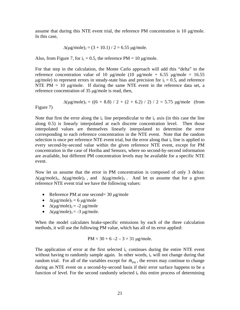assume that during this NTE event trial, the reference PM concentration is 10 μg/mole. In this case,

$$
\Delta(\mu g/mole)_1 = (3 + 10.1) / 2 = 6.55 \mu g/mole.
$$

Also, from Figure 7, for  $i_c = 0.5$ , the reference PM = 10  $\mu$ g/mole.

For that step in the calculation, the Monte Carlo approach will add this "delta" to the reference concentration value of 10 μg/mole (10 μg/mole + 6.55 μg/mole = 16.55  $\mu$ g/mole) to represent errors in steady-state bias and precision for  $i_c = 0.5$ , and reference NTE PM  $= 10 \mu g/mole$ . If during the same NTE event in the reference data set, a reference concentration of 35 μg/mole is read, then,

 $\Delta(\mu\text{g/mole})_1 = ((6 + 8.8) / 2 + (2 + 6.2) / 2) / 2 = 5.75 \mu\text{g/mole}$  (from Figure 7)

Note that first the error along the  $i_c$  line perpendicular to the  $i_c$  axis (in this case the line along 0.5) is linearly interpolated at each discrete concentration level. Then those interpolated values are themselves linearly interpolated to determine the error corresponding to each reference concentration in the NTE event. Note that the random selection is once per reference NTE event trial, but the error along that  $i_c$  line is applied to every second-by-second value within the given reference NTE event, except for PM concentration in the case of Horiba and Sensors, where no second-by-second information are available, but different PM concentration levels may be available for a specific NTE event.

Now let us assume that the error in PM concentration is composed of only 3 deltas:  $\Delta(\mu g/mole)_1$ ,  $\Delta(\mu g/mole)_2$ , and  $\Delta(\mu g/mole)_3$ . And let us assume that for a given reference NTE event trial we have the following values:

- Reference PM at one second=  $30 \mu g/mole$
- $\Delta(\mu g/mole)_1 = 6 \mu g/mole$
- $\Delta(\mu g/mole)_2 = -2 \mu g/mole$
- $\Delta(\mu g/mole)_3 = -3 \mu g/mole$ .

When the model calculates brake-specific emissions by each of the three calculation methods, it will use the following PM value, which has all of its error applied:

$$
PM = 30 + 6 - 2 - 3 = 31 \text{ µg/mole}.
$$

The application of error at the first selected  $i<sub>c</sub>$  continues during the entire NTE event without having to randomly sample again. In other words,  $i_c$  will not change during that random trial. For all of the variables except for  $\bar{m}_{\text{DM}}$ , the errors may continue to change during an NTE event on a second-by-second basis if their error surface happens to be a function of level. For the second randomly selected  $i<sub>c</sub>$  this entire process of determining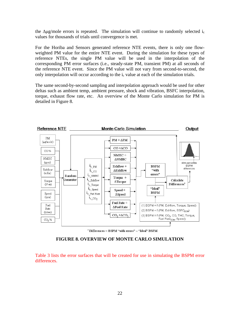the  $\Delta \mu$ g/mole errors is repeated. The simulation will continue to randomly selected i<sub>c</sub> values for thousands of trials until convergence is met.

For the Horiba and Sensors generated reference NTE events, there is only one flowweighted PM value for the entire NTE event. During the simulation for these types of reference NTEs, the single PM value will be used in the interpolation of the corresponding PM error surfaces (i.e., steady-state PM, transient PM) at all seconds of the reference NTE event. Since the PM value will not vary from second-to-second, the only interpolation will occur according to the  $i_c$  value at each of the simulation trials.

The same second-by-second sampling and interpolation approach would be used for other deltas such as ambient temp, ambient pressure, shock and vibration, BSFC interpolation, torque, exhaust flow rate, etc. An overview of the Monte Carlo simulation for PM is detailed in [Figure 8.](#page-22-0)



\* Differences = BSPM "with errors" - "Ideal" BSPM

**FIGURE 8. OVERVIEW OF MONTE CARLO SIMULATION** 

<span id="page-22-0"></span>Table 3 lists the error surfaces that will be created for use in simulating the BSPM error differences.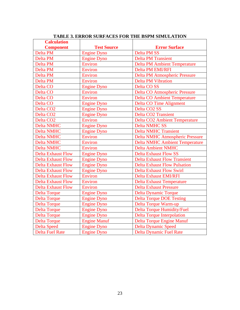<span id="page-23-0"></span>

| <b>Error Surface</b><br><b>Component</b><br><b>Test Source</b><br>Delta PM SS<br><b>Engine Dyno</b><br>Delta PM<br><b>Delta PM Transient</b><br>Delta PM<br><b>Engine Dyno</b><br>Delta PM<br><b>Environ</b><br><b>Delta PM Ambient Temperature</b><br><b>Delta PM EMI/RFI</b><br><b>Delta PM</b><br><b>Environ</b><br><b>Delta PM Atmospheric Pressure</b><br>Delta PM<br>Environ<br><b>Delta PM Vibration</b><br>Delta PM<br>Environ<br><b>Engine Dyno</b><br>Delta CO <sub>SS</sub><br>Delta CO<br>Delta CO<br><b>Delta CO Atmospheric Pressure</b><br><b>Environ</b><br><b>Delta CO Ambient Temperature</b><br>Delta CO<br><b>Environ</b><br>Delta CO<br><b>Delta CO Time Alignment</b><br><b>Engine Dyno</b><br>Delta CO <sub>2</sub> SS<br>Delta CO <sub>2</sub><br><b>Engine Dyno</b><br><b>Delta CO2 Transient</b><br><b>Engine Dyno</b><br>Delta CO <sub>2</sub><br>Environ<br><b>Delta CO2 Ambient Temperature</b><br><b>Delta NMHC</b><br><b>Engine Dyno</b><br><b>Delta NMHC SS</b><br><b>Delta NMHC Transient</b><br><b>Delta NMHC</b><br><b>Engine Dyno</b><br><b>Delta NMHC Atmospheric Pressure</b><br><b>Delta NMHC</b><br>Environ<br>Environ<br><b>Delta NMHC Ambient Temperature</b><br><b>Delta NMHC</b><br><b>Delta NMHC</b><br>Environ<br><b>Delta Ambient NMHC</b><br><b>Delta Exhaust Flow</b><br><b>Delta Exhaust Flow SS</b><br><b>Engine Dyno</b><br><b>Delta Exhaust Flow Transient</b><br><b>Delta Exhaust Flow</b><br><b>Engine Dyno</b><br><b>Delta Exhaust Flow Pulsation</b><br><b>Delta Exhaust Flow</b><br><b>Engine Dyno</b><br><b>Delta Exhaust Flow Swirl</b><br><b>Delta Exhaust Flow</b><br><b>Engine Dyno</b><br><b>Delta Exhaust EMI/RFI</b><br><b>Delta Exhaust Flow</b><br>Environ<br><b>Delta Exhaust Flow</b><br>Environ<br><b>Delta Exhaust Temperature</b><br><b>Delta Exhaust Flow</b><br><b>Environ</b><br><b>Delta Exhaust Pressure</b><br><b>Delta Torque</b><br><b>Engine Dyno</b><br><b>Delta Dynamic Torque</b><br><b>Delta Torque</b><br><b>Engine Dyno</b><br><b>Delta Torque DOE Testing</b><br><b>Delta Torque</b><br><b>Delta Torque Warm-up</b><br><b>Engine Dyno</b><br><b>Delta Torque</b><br><b>Delta Torque Humidity/Fuel</b><br><b>Engine Dyno</b><br><b>Delta Torque</b><br><b>Engine Dyno</b><br><b>Delta Torque Interpolation</b><br><b>Delta Torque</b><br><b>Engine Manuf</b><br><b>Delta Torque Engine Manuf</b><br><b>Delta Speed</b><br><b>Engine Dyno</b><br><b>Delta Dynamic Speed</b> | <b>Calculation</b>     |                    |                                |
|--------------------------------------------------------------------------------------------------------------------------------------------------------------------------------------------------------------------------------------------------------------------------------------------------------------------------------------------------------------------------------------------------------------------------------------------------------------------------------------------------------------------------------------------------------------------------------------------------------------------------------------------------------------------------------------------------------------------------------------------------------------------------------------------------------------------------------------------------------------------------------------------------------------------------------------------------------------------------------------------------------------------------------------------------------------------------------------------------------------------------------------------------------------------------------------------------------------------------------------------------------------------------------------------------------------------------------------------------------------------------------------------------------------------------------------------------------------------------------------------------------------------------------------------------------------------------------------------------------------------------------------------------------------------------------------------------------------------------------------------------------------------------------------------------------------------------------------------------------------------------------------------------------------------------------------------------------------------------------------------------------------------------------------------------------------------------------------------------------------------------------------------------------------------------------------------------------------------------------------------------------------------------------------------------------------------------------------------------------------------------------------------------------------------------------------------------------------------|------------------------|--------------------|--------------------------------|
|                                                                                                                                                                                                                                                                                                                                                                                                                                                                                                                                                                                                                                                                                                                                                                                                                                                                                                                                                                                                                                                                                                                                                                                                                                                                                                                                                                                                                                                                                                                                                                                                                                                                                                                                                                                                                                                                                                                                                                                                                                                                                                                                                                                                                                                                                                                                                                                                                                                                    |                        |                    |                                |
|                                                                                                                                                                                                                                                                                                                                                                                                                                                                                                                                                                                                                                                                                                                                                                                                                                                                                                                                                                                                                                                                                                                                                                                                                                                                                                                                                                                                                                                                                                                                                                                                                                                                                                                                                                                                                                                                                                                                                                                                                                                                                                                                                                                                                                                                                                                                                                                                                                                                    |                        |                    |                                |
|                                                                                                                                                                                                                                                                                                                                                                                                                                                                                                                                                                                                                                                                                                                                                                                                                                                                                                                                                                                                                                                                                                                                                                                                                                                                                                                                                                                                                                                                                                                                                                                                                                                                                                                                                                                                                                                                                                                                                                                                                                                                                                                                                                                                                                                                                                                                                                                                                                                                    |                        |                    |                                |
|                                                                                                                                                                                                                                                                                                                                                                                                                                                                                                                                                                                                                                                                                                                                                                                                                                                                                                                                                                                                                                                                                                                                                                                                                                                                                                                                                                                                                                                                                                                                                                                                                                                                                                                                                                                                                                                                                                                                                                                                                                                                                                                                                                                                                                                                                                                                                                                                                                                                    |                        |                    |                                |
|                                                                                                                                                                                                                                                                                                                                                                                                                                                                                                                                                                                                                                                                                                                                                                                                                                                                                                                                                                                                                                                                                                                                                                                                                                                                                                                                                                                                                                                                                                                                                                                                                                                                                                                                                                                                                                                                                                                                                                                                                                                                                                                                                                                                                                                                                                                                                                                                                                                                    |                        |                    |                                |
|                                                                                                                                                                                                                                                                                                                                                                                                                                                                                                                                                                                                                                                                                                                                                                                                                                                                                                                                                                                                                                                                                                                                                                                                                                                                                                                                                                                                                                                                                                                                                                                                                                                                                                                                                                                                                                                                                                                                                                                                                                                                                                                                                                                                                                                                                                                                                                                                                                                                    |                        |                    |                                |
|                                                                                                                                                                                                                                                                                                                                                                                                                                                                                                                                                                                                                                                                                                                                                                                                                                                                                                                                                                                                                                                                                                                                                                                                                                                                                                                                                                                                                                                                                                                                                                                                                                                                                                                                                                                                                                                                                                                                                                                                                                                                                                                                                                                                                                                                                                                                                                                                                                                                    |                        |                    |                                |
|                                                                                                                                                                                                                                                                                                                                                                                                                                                                                                                                                                                                                                                                                                                                                                                                                                                                                                                                                                                                                                                                                                                                                                                                                                                                                                                                                                                                                                                                                                                                                                                                                                                                                                                                                                                                                                                                                                                                                                                                                                                                                                                                                                                                                                                                                                                                                                                                                                                                    |                        |                    |                                |
|                                                                                                                                                                                                                                                                                                                                                                                                                                                                                                                                                                                                                                                                                                                                                                                                                                                                                                                                                                                                                                                                                                                                                                                                                                                                                                                                                                                                                                                                                                                                                                                                                                                                                                                                                                                                                                                                                                                                                                                                                                                                                                                                                                                                                                                                                                                                                                                                                                                                    |                        |                    |                                |
|                                                                                                                                                                                                                                                                                                                                                                                                                                                                                                                                                                                                                                                                                                                                                                                                                                                                                                                                                                                                                                                                                                                                                                                                                                                                                                                                                                                                                                                                                                                                                                                                                                                                                                                                                                                                                                                                                                                                                                                                                                                                                                                                                                                                                                                                                                                                                                                                                                                                    |                        |                    |                                |
|                                                                                                                                                                                                                                                                                                                                                                                                                                                                                                                                                                                                                                                                                                                                                                                                                                                                                                                                                                                                                                                                                                                                                                                                                                                                                                                                                                                                                                                                                                                                                                                                                                                                                                                                                                                                                                                                                                                                                                                                                                                                                                                                                                                                                                                                                                                                                                                                                                                                    |                        |                    |                                |
|                                                                                                                                                                                                                                                                                                                                                                                                                                                                                                                                                                                                                                                                                                                                                                                                                                                                                                                                                                                                                                                                                                                                                                                                                                                                                                                                                                                                                                                                                                                                                                                                                                                                                                                                                                                                                                                                                                                                                                                                                                                                                                                                                                                                                                                                                                                                                                                                                                                                    |                        |                    |                                |
|                                                                                                                                                                                                                                                                                                                                                                                                                                                                                                                                                                                                                                                                                                                                                                                                                                                                                                                                                                                                                                                                                                                                                                                                                                                                                                                                                                                                                                                                                                                                                                                                                                                                                                                                                                                                                                                                                                                                                                                                                                                                                                                                                                                                                                                                                                                                                                                                                                                                    | Delta CO <sub>2</sub>  |                    |                                |
|                                                                                                                                                                                                                                                                                                                                                                                                                                                                                                                                                                                                                                                                                                                                                                                                                                                                                                                                                                                                                                                                                                                                                                                                                                                                                                                                                                                                                                                                                                                                                                                                                                                                                                                                                                                                                                                                                                                                                                                                                                                                                                                                                                                                                                                                                                                                                                                                                                                                    |                        |                    |                                |
|                                                                                                                                                                                                                                                                                                                                                                                                                                                                                                                                                                                                                                                                                                                                                                                                                                                                                                                                                                                                                                                                                                                                                                                                                                                                                                                                                                                                                                                                                                                                                                                                                                                                                                                                                                                                                                                                                                                                                                                                                                                                                                                                                                                                                                                                                                                                                                                                                                                                    |                        |                    |                                |
|                                                                                                                                                                                                                                                                                                                                                                                                                                                                                                                                                                                                                                                                                                                                                                                                                                                                                                                                                                                                                                                                                                                                                                                                                                                                                                                                                                                                                                                                                                                                                                                                                                                                                                                                                                                                                                                                                                                                                                                                                                                                                                                                                                                                                                                                                                                                                                                                                                                                    |                        |                    |                                |
|                                                                                                                                                                                                                                                                                                                                                                                                                                                                                                                                                                                                                                                                                                                                                                                                                                                                                                                                                                                                                                                                                                                                                                                                                                                                                                                                                                                                                                                                                                                                                                                                                                                                                                                                                                                                                                                                                                                                                                                                                                                                                                                                                                                                                                                                                                                                                                                                                                                                    |                        |                    |                                |
|                                                                                                                                                                                                                                                                                                                                                                                                                                                                                                                                                                                                                                                                                                                                                                                                                                                                                                                                                                                                                                                                                                                                                                                                                                                                                                                                                                                                                                                                                                                                                                                                                                                                                                                                                                                                                                                                                                                                                                                                                                                                                                                                                                                                                                                                                                                                                                                                                                                                    |                        |                    |                                |
|                                                                                                                                                                                                                                                                                                                                                                                                                                                                                                                                                                                                                                                                                                                                                                                                                                                                                                                                                                                                                                                                                                                                                                                                                                                                                                                                                                                                                                                                                                                                                                                                                                                                                                                                                                                                                                                                                                                                                                                                                                                                                                                                                                                                                                                                                                                                                                                                                                                                    |                        |                    |                                |
|                                                                                                                                                                                                                                                                                                                                                                                                                                                                                                                                                                                                                                                                                                                                                                                                                                                                                                                                                                                                                                                                                                                                                                                                                                                                                                                                                                                                                                                                                                                                                                                                                                                                                                                                                                                                                                                                                                                                                                                                                                                                                                                                                                                                                                                                                                                                                                                                                                                                    |                        |                    |                                |
|                                                                                                                                                                                                                                                                                                                                                                                                                                                                                                                                                                                                                                                                                                                                                                                                                                                                                                                                                                                                                                                                                                                                                                                                                                                                                                                                                                                                                                                                                                                                                                                                                                                                                                                                                                                                                                                                                                                                                                                                                                                                                                                                                                                                                                                                                                                                                                                                                                                                    |                        |                    |                                |
|                                                                                                                                                                                                                                                                                                                                                                                                                                                                                                                                                                                                                                                                                                                                                                                                                                                                                                                                                                                                                                                                                                                                                                                                                                                                                                                                                                                                                                                                                                                                                                                                                                                                                                                                                                                                                                                                                                                                                                                                                                                                                                                                                                                                                                                                                                                                                                                                                                                                    |                        |                    |                                |
|                                                                                                                                                                                                                                                                                                                                                                                                                                                                                                                                                                                                                                                                                                                                                                                                                                                                                                                                                                                                                                                                                                                                                                                                                                                                                                                                                                                                                                                                                                                                                                                                                                                                                                                                                                                                                                                                                                                                                                                                                                                                                                                                                                                                                                                                                                                                                                                                                                                                    |                        |                    |                                |
|                                                                                                                                                                                                                                                                                                                                                                                                                                                                                                                                                                                                                                                                                                                                                                                                                                                                                                                                                                                                                                                                                                                                                                                                                                                                                                                                                                                                                                                                                                                                                                                                                                                                                                                                                                                                                                                                                                                                                                                                                                                                                                                                                                                                                                                                                                                                                                                                                                                                    |                        |                    |                                |
|                                                                                                                                                                                                                                                                                                                                                                                                                                                                                                                                                                                                                                                                                                                                                                                                                                                                                                                                                                                                                                                                                                                                                                                                                                                                                                                                                                                                                                                                                                                                                                                                                                                                                                                                                                                                                                                                                                                                                                                                                                                                                                                                                                                                                                                                                                                                                                                                                                                                    |                        |                    |                                |
|                                                                                                                                                                                                                                                                                                                                                                                                                                                                                                                                                                                                                                                                                                                                                                                                                                                                                                                                                                                                                                                                                                                                                                                                                                                                                                                                                                                                                                                                                                                                                                                                                                                                                                                                                                                                                                                                                                                                                                                                                                                                                                                                                                                                                                                                                                                                                                                                                                                                    |                        |                    |                                |
|                                                                                                                                                                                                                                                                                                                                                                                                                                                                                                                                                                                                                                                                                                                                                                                                                                                                                                                                                                                                                                                                                                                                                                                                                                                                                                                                                                                                                                                                                                                                                                                                                                                                                                                                                                                                                                                                                                                                                                                                                                                                                                                                                                                                                                                                                                                                                                                                                                                                    |                        |                    |                                |
|                                                                                                                                                                                                                                                                                                                                                                                                                                                                                                                                                                                                                                                                                                                                                                                                                                                                                                                                                                                                                                                                                                                                                                                                                                                                                                                                                                                                                                                                                                                                                                                                                                                                                                                                                                                                                                                                                                                                                                                                                                                                                                                                                                                                                                                                                                                                                                                                                                                                    |                        |                    |                                |
|                                                                                                                                                                                                                                                                                                                                                                                                                                                                                                                                                                                                                                                                                                                                                                                                                                                                                                                                                                                                                                                                                                                                                                                                                                                                                                                                                                                                                                                                                                                                                                                                                                                                                                                                                                                                                                                                                                                                                                                                                                                                                                                                                                                                                                                                                                                                                                                                                                                                    |                        |                    |                                |
|                                                                                                                                                                                                                                                                                                                                                                                                                                                                                                                                                                                                                                                                                                                                                                                                                                                                                                                                                                                                                                                                                                                                                                                                                                                                                                                                                                                                                                                                                                                                                                                                                                                                                                                                                                                                                                                                                                                                                                                                                                                                                                                                                                                                                                                                                                                                                                                                                                                                    |                        |                    |                                |
|                                                                                                                                                                                                                                                                                                                                                                                                                                                                                                                                                                                                                                                                                                                                                                                                                                                                                                                                                                                                                                                                                                                                                                                                                                                                                                                                                                                                                                                                                                                                                                                                                                                                                                                                                                                                                                                                                                                                                                                                                                                                                                                                                                                                                                                                                                                                                                                                                                                                    |                        |                    |                                |
|                                                                                                                                                                                                                                                                                                                                                                                                                                                                                                                                                                                                                                                                                                                                                                                                                                                                                                                                                                                                                                                                                                                                                                                                                                                                                                                                                                                                                                                                                                                                                                                                                                                                                                                                                                                                                                                                                                                                                                                                                                                                                                                                                                                                                                                                                                                                                                                                                                                                    |                        |                    |                                |
|                                                                                                                                                                                                                                                                                                                                                                                                                                                                                                                                                                                                                                                                                                                                                                                                                                                                                                                                                                                                                                                                                                                                                                                                                                                                                                                                                                                                                                                                                                                                                                                                                                                                                                                                                                                                                                                                                                                                                                                                                                                                                                                                                                                                                                                                                                                                                                                                                                                                    |                        |                    |                                |
|                                                                                                                                                                                                                                                                                                                                                                                                                                                                                                                                                                                                                                                                                                                                                                                                                                                                                                                                                                                                                                                                                                                                                                                                                                                                                                                                                                                                                                                                                                                                                                                                                                                                                                                                                                                                                                                                                                                                                                                                                                                                                                                                                                                                                                                                                                                                                                                                                                                                    | <b>Delta Fuel Rate</b> | <b>Engine Dyno</b> | <b>Delta Dynamic Fuel Rate</b> |

#### **TABLE 3. ERROR SURFACES FOR THE BSPM SIMULATION**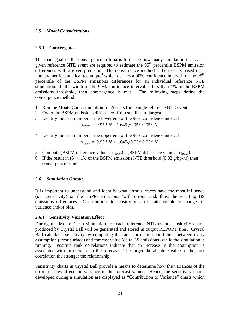#### <span id="page-24-0"></span>*2.5 Model Considerations*

#### <span id="page-24-1"></span>**2.5.1 Convergence**

The main goal of the convergence criteria is to define how many simulation trials at a given reference NTE event are required to estimate the  $95<sup>th</sup>$  percentile BSPM emission differences with a given precision. The convergence method to be used is based on a nonparametric statistical technique<sup>3</sup> which defines a 90% confidence interval for the 95<sup>th</sup> percentile of the BSPM emissions differences for an individual reference NTE simulation. If the width of the 90% confidence interval is less than 1% of the BSPM emissions threshold, then convergence is met. The following steps define the convergence method:

- 1. Run the Monte Carlo simulation for *N* trials for a single reference NTE event.
- 2. Order the BSPM emissions differences from smallest to largest.
- 3. Identify the trial number at the lower end of the 90% confidence interval

$$
n_{\text{lower}} = 0.95 * N - 1.645 \sqrt{0.95 * 0.05 * N}
$$

- 4. Identify the trial number at the upper end of the 90% confidence interval  $n_{\text{upper}} = 0.95 * N + 1.645\sqrt{0.95 * 0.05 * N}$
- 5. Compute (BSPM difference value at  $n_{\text{upper}}$ ) (BSPM difference value at  $n_{\text{lower}}$ ).
- 6. If the result in  $(5) < 1\%$  of the BSPM emissions NTE threshold  $(0.02 \text{ g/hp-hr})$  then convergence is met.

# <span id="page-24-2"></span>*2.6 Simulation Output*

It is important to understand and identify what error surfaces have the most influence (i.e., sensitivity) on the BSPM emissions 'with errors' and, thus, the resulting BS emissions differences. Contributions to sensitivity can be attributable to changes in variance and/or bias.

# <span id="page-24-3"></span>**2.6.1 Sensitivity Variation Effect**

During the Monte Carlo simulation for each reference NTE event, sensitivity charts produced by Crystal Ball will be generated and stored in output REPORT files. Crystal Ball calculates sensitivity by computing the rank correlation coefficient between every assumption (error surface) and forecast value (delta BS emissions) while the simulation is running. Positive rank correlations indicate that an increase in the assumption is associated with an increase in the forecast. The larger the absolute value of the rank correlation the stronger the relationship.

Sensitivity charts in Crystal Ball provide a means to determine how the variances of the error surfaces affect the variance in the forecast values. Hence, the sensitivity charts developed during a simulation are displayed as "Contribution to Variance" charts which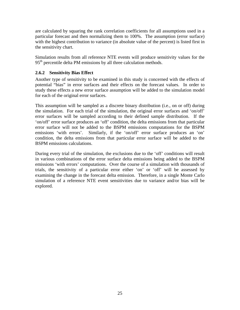are calculated by squaring the rank correlation coefficients for all assumptions used in a particular forecast and then normalizing them to 100%. The assumption (error surface) with the highest contribution to variance (in absolute value of the percent) is listed first in the sensitivity chart.

Simulation results from all reference NTE events will produce sensitivity values for the  $95<sup>th</sup>$  percentile delta PM emissions by all three calculation methods.

# **2.6.2 Sensitivity Bias Effect**

<span id="page-25-0"></span>Another type of sensitivity to be examined in this study is concerned with the effects of potential "bias" in error surfaces and their effects on the forecast values. In order to study these effects a new error surface assumption will be added to the simulation model for each of the original error surfaces.

This assumption will be sampled as a discrete binary distribution (i.e., on or off) during the simulation. For each trial of the simulation, the original error surfaces and 'on/off' error surfaces will be sampled according to their defined sample distribution. If the 'on/off' error surface produces an 'off' condition, the delta emissions from that particular error surface will not be added to the BSPM emissions computations for the BSPM emissions 'with errors'. Similarly, if the 'on/off' error surface produces an 'on' condition, the delta emissions from that particular error surface will be added to the BSPM emissions calculations.

During every trial of the simulation, the exclusions due to the 'off' conditions will result in various combinations of the error surface delta emissions being added to the BSPM emissions 'with errors' computations. Over the course of a simulation with thousands of trials, the sensitivity of a particular error either 'on' or 'off' will be assessed by examining the change in the forecast delta emission. Therefore, in a single Monte Carlo simulation of a reference NTE event sensitivities due to variance and/or bias will be explored.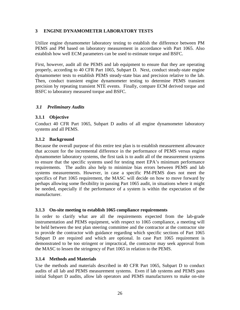# <span id="page-26-0"></span>**3 ENGINE DYNAMOMETER LABORATORY TESTS**

Utilize engine dynamometer laboratory testing to establish the difference between PM PEMS and PM based on laboratory measurement in accordance with Part 1065. Also establish how well ECM parameters can be used to estimate torque and BSFC.

First, however, audit all the PEMS and lab equipment to ensure that they are operating properly, according to 40 CFR Part 1065, Subpart D. Next, conduct steady-state engine dynamometer tests to establish PEMS steady-state bias and precision relative to the lab. Then, conduct transient engine dynamometer testing to determine PEMS transient precision by repeating transient NTE events. Finally, compare ECM derived torque and BSFC to laboratory measured torque and BSFC.

### <span id="page-26-1"></span>*3.1 Preliminary Audits*

### <span id="page-26-2"></span>**3.1.1 Objective**

Conduct 40 CFR Part 1065, Subpart D audits of all engine dynamometer laboratory systems and all PEMS.

### <span id="page-26-3"></span>**3.1.2 Background**

Because the overall purpose of this entire test plan is to establish measurement allowance that account for the incremental difference in the performance of PEMS versus engine dynamometer laboratory systems, the first task is to audit all of the measurement systems to ensure that the specific systems used for testing meet EPA's minimum performance requirements. The audits also help to minimize bias errors between PEMS and lab systems measurements. However, in case a specific PM-PEMS does not meet the specifics of Part 1065 requirement, the MASC will decide on how to move forward by perhaps allowing some flexibility in passing Part 1065 audit, in situations where it might be needed, especially if the performance of a system is within the expectation of the manufacturer.

#### <span id="page-26-4"></span>**3.1.3 On-site meeting to establish 1065 compliance requirements**

In order to clarify what are all the requirements expected from the lab-grade instrumentation and PEMS equipment, with respect to 1065 compliance, a meeting will be held between the test plan steering committee and the contractor at the contractor site to provide the contractor with guidance regarding which specific sections of Part 1065 Subpart D are required and which are optional. In case Part 1065 requirement is demonstrated to be too stringent or impractical, the contractor may seek approval from the MASC to lessen the stringency of Part 1065 in relation to the PEMS.

#### <span id="page-26-5"></span>**3.1.4 Methods and Materials**

Use the methods and materials described in 40 CFR Part 1065, Subpart D to conduct audits of all lab and PEMS measurement systems. Even if lab systems and PEMS pass initial Subpart D audits, allow lab operators and PEMS manufacturers to make on-site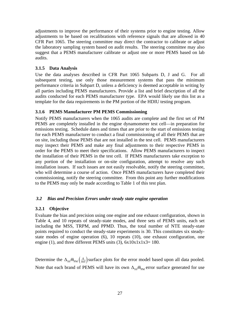adjustments to improve the performance of their systems prior to engine testing. Allow adjustments to be based on recalibrations with reference signals that are allowed in 40 CFR Part 1065. The steering committee may direct the contractor to calibrate or adjust the laboratory sampling system based on audit results. The steering committee may also suggest that a PEMS manufacturer calibrate or adjust one or more PEMS based on lab audits.

# <span id="page-27-0"></span>**3.1.5 Data Analysis**

Use the data analyses described in CFR Part 1065 Subparts D, J and G. For all subsequent testing, use only those measurement systems that pass the minimum performance criteria in Subpart D, unless a deficiency is deemed acceptable in writing by all parties including PEMS manufacturers. Provide a list and brief description of all the audits conducted for each PEMS manufacturer type. EPA would likely use this list as a template for the data requirements in the PM portion of the HDIU testing program.

# <span id="page-27-1"></span>**3.1.6 PEMS Manufacturer PM PEMS Commissioning**

Notify PEMS manufacturers when the 1065 audits are complete and the first set of PM PEMS are completely installed in the engine dynamometer test cell—in preparation for emissions testing. Schedule dates and times that are prior to the start of emissions testing for each PEMS manufacturer to conduct a final commissioning of all their PEMS that are on site, including those PEMS that are not installed in the test cell. PEMS manufacturers may inspect their PEMS and make any final adjustments to their respective PEMS in order for the PEMS to meet their specifications. Allow PEMS manufacturers to inspect the installation of their PEMS in the test cell. If PEMS manufacturers take exception to any portion of the installation or on-site configuration, attempt to resolve any such installation issues. If such issues are not easily resolvable, notify the steering committee, who will determine a course of action. Once PEMS manufacturers have completed their commissioning, notify the steering committee. From this point any further modifications to the PEMS may only be made according to Table 1 of this test plan.

# <span id="page-27-2"></span>*3.2 Bias and Precision Errors under steady state engine operation*

# <span id="page-27-3"></span>**3.2.1 Objective**

Evaluate the bias and precision using one engine and one exhaust configuration, shown in Table 4, and 10 repeats of steady-state modes, and three sets of PEMS units, each set including the MSS, TRPM, and PPMD. Thus, the total number of NTE steady-state points required to conduct the steady-state experiments is 30. This constitutes six steadystate modes of engine operation (6), 10 repeats (10), one exhaust configuration, one engine (1), and three different PEMS units (3),  $6x10x1x1x3=180$ .

Determine the  $\Delta_{SS} \overline{m}_{\text{PM}} \left( \frac{g}{\text{mol}} \right)$  surface plots for the error model based upon all data pooled. Note that each brand of PEMS will have its own  $\Delta_{SS} \overline{m}_{PM}$  error surface generated for use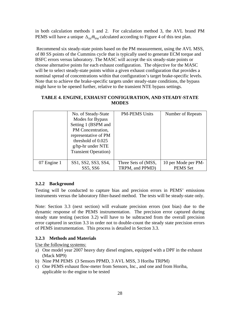in both calculation methods 1 and 2. For calculation method 3, the AVL brand PM PEMS will have a unique  $\Delta_{\rm ss} \bar{m}_{\rm DM}$  calculated according to Figure 4 of this test plan.

 Recommend six steady-state points based on the PM measurement, using the AVL MSS, of 80 SS points of the Cummins cycle that is typically used to generate ECM torque and BSFC errors versus laboratory. The MASC will accept the six steady-state points or choose alternative points for each exhaust configuration. The objective for the MASC will be to select steady-state points within a given exhaust configuration that provides a nominal spread of concentrations within that configuration's target brake-specific levels. Note that to achieve the brake-specific targets under steady-state conditions, the bypass might have to be opened further, relative to the transient NTE bypass settings.

# **TABLE 4. ENGINE, EXHAUST CONFIGURATION, AND STEADY-STATE MODES**

<span id="page-28-2"></span>

|             | No. of Steady-State<br>Modes for Bypass<br>Setting 1 (BSPM and<br>PM Concentration,<br>representative of PM<br>threshold of 0.025<br>$g/hp-hr$ under NTE<br><b>Transient Operation</b> ) | <b>PM-PEMS Units</b> | Number of Repeats   |
|-------------|------------------------------------------------------------------------------------------------------------------------------------------------------------------------------------------|----------------------|---------------------|
| 07 Engine 1 | SS1, SS2, SS3, SS4,                                                                                                                                                                      | Three Sets of (MSS,  | 10 per Mode per PM- |
|             | SS5, SS6                                                                                                                                                                                 | TRPM, and PPMD)      | PEMS Set            |

# <span id="page-28-0"></span>**3.2.2 Background**

Testing will be conducted to capture bias and precision errors in PEMS' emissions instruments versus the laboratory filter-based method. The tests will be steady-state only.

Note: Section 3.3 (next section) will evaluate precision errors (not bias) due to the dynamic response of the PEMS instrumentation. The precision error captured during steady state testing (section 3.2) will have to be subtracted from the overall precision error captured in section 3.3 in order not to double-count the steady state precision errors of PEMS instrumentation. This process is detailed in Section 3.3.

# <span id="page-28-1"></span>**3.2.3 Methods and Materials**

Use the following systems:

- a) One model year 2007 heavy duty diesel engines, equipped with a DPF in the exhaust (Mack MP9)
- b) Nine PM PEMS (3 Sensors PPMD, 3 AVL MSS, 3 Horiba TRPM)
- c) One PEMS exhaust flow-meter from Sensors, Inc., and one and from Horiba, applicable to the engine to be tested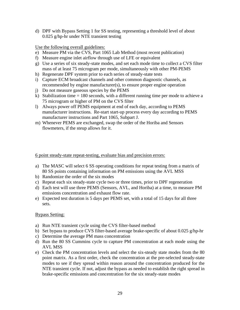d) DPF with Bypass Setting 1 for SS testing, representing a threshold level of about 0.025 g/hp-hr under NTE transient testing

Use the following overall guidelines:

- e) Measure PM via the CVS, Part 1065 Lab Method (most recent publication)
- f) Measure engine inlet airflow through use of LFE or equivalent
- g) Use a series of six steady-state modes, and set each mode time to collect a CVS filter mass of at least 75 microgram per mode, simultaneously with other PM-PEMS
- h) Regenerate DPF system prior to each series of steady-state tests
- i) Capture ECM broadcast channels and other common diagnostic channels, as recommended by engine manufacturer(s), to ensure proper engine operation
- j) Do not measure gaseous species by the PEMS
- k) Stabilization time  $= 180$  seconds, with a different running time per mode to achieve a 75 microgram or higher of PM on the CVS filter
- l) Always power off PEMS equipment at end of each day, according to PEMS manufacturer instructions. Re-start start-up process every day according to PEMS manufacturer instructions and Part 1065, Subpart J.
- m) Whenever PEMS are exchanged, swap the order of the Horiba and Sensors flowmeters, if the steup allows for it.

6 point steady-state repeat-testing, evaluate bias and precision errors:

- a) The MASC will select 6 SS operating conditions for repeat testing from a matrix of 80 SS points containing information on PM emissions using the AVL MSS
- b) Randomize the order of the six modes
- c) Repeat each six steady-state cycle two or three times, prior to DPF regeneration
- d) Each test will use three PEMS (Sensors, AVL, and Horiba) at a time, to measure PM emissions concentration and exhaust flow rate.
- e) Expected test duration is 5 days per PEMS set, with a total of 15 days for all three sets.

# Bypass Setting:

- a) Run NTE transient cycle using the CVS filter-based method
- b) Set bypass to produce CVS filter-based average brake-specific of about 0.025 g/hp-hr
- c) Determine the average PM mass concentration
- d) Run the 80 SS Cummins cycle to capture PM concentration at each mode using the AVL MSS
- e) Check the PM concentration levels and select the six-steady state modes from the 80 point matrix. As a first order, check the concentration at the pre-selected steady-state modes to see if they spread within reason around the concentration produced for the NTE transient cycle. If not, adjust the bypass as needed to establish the right spread in brake-specific emissions and concentration for the six steady-state modes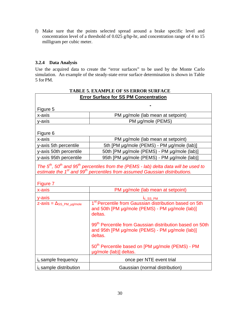f) Make sure that the points selected spread around a brake specific level and concentration level of a threshold of 0.025 g/hp-hr, and concentration range of 4 to 15 milligram per cubic meter.

# <span id="page-30-0"></span>**3.2.4 Data Analysis**

Use the acquired data to create the "error surfaces" to be used by the Monte Carlo simulation. An example of the steady-state error surface determination is shown in Table 5 for PM.

<span id="page-30-1"></span>

| <b>TABLE 5. EXAMPLE OF SS ERROR SURFACE</b>    |                                                                                                                                                                                                                      |  |  |  |  |
|------------------------------------------------|----------------------------------------------------------------------------------------------------------------------------------------------------------------------------------------------------------------------|--|--|--|--|
| <b>Error Surface for SS PM Concentration</b>   |                                                                                                                                                                                                                      |  |  |  |  |
| Figure 5                                       |                                                                                                                                                                                                                      |  |  |  |  |
| x-axis                                         | PM µg/mole (lab mean at setpoint)                                                                                                                                                                                    |  |  |  |  |
| y-axis                                         | PM µg/mole (PEMS)                                                                                                                                                                                                    |  |  |  |  |
|                                                |                                                                                                                                                                                                                      |  |  |  |  |
| Figure 6                                       |                                                                                                                                                                                                                      |  |  |  |  |
| x-axis                                         | PM µg/mole (lab mean at setpoint)                                                                                                                                                                                    |  |  |  |  |
| y-axis 5th percentile                          | 5th [PM µg/mole (PEMS) - PM µg/mole (lab)]                                                                                                                                                                           |  |  |  |  |
| y-axis 50th percentile                         | 50th [PM µg/mole (PEMS) - PM µg/mole (lab)]                                                                                                                                                                          |  |  |  |  |
| y-axis 95th percentile                         | 95th [PM µg/mole (PEMS) - PM µg/mole (lab)]                                                                                                                                                                          |  |  |  |  |
|                                                | The $5th$ , 50 <sup>th</sup> and 95 <sup>th</sup> percentiles from the (PEMS - lab) delta data will be used to<br>estimate the 1 <sup>st</sup> and 99 <sup>th</sup> percentiles from assumed Gaussian distributions. |  |  |  |  |
| Figure 7                                       |                                                                                                                                                                                                                      |  |  |  |  |
| x-axis                                         | PM µg/mole (lab mean at setpoint)                                                                                                                                                                                    |  |  |  |  |
| y-axis                                         | I <sub>c_SS_PM</sub>                                                                                                                                                                                                 |  |  |  |  |
| $z$ -axis = $\Delta$ <sub>SS_PM_µg</sub> /mole | 1 <sup>st</sup> Percentile from Gaussian distribution based on 5th<br>and 50th [PM µg/mole (PEMS) - PM µg/mole (lab)]<br>deltas.                                                                                     |  |  |  |  |
|                                                | 99 <sup>th</sup> Percentile from Gaussian distribution based on 50th<br>and 95th [PM µg/mole (PEMS) - PM µg/mole (lab)]<br>deltas.                                                                                   |  |  |  |  |
|                                                | 50 <sup>th</sup> Percentile based on [PM µg/mole (PEMS) - PM<br>µg/mole (lab)] deltas.                                                                                                                               |  |  |  |  |
| $i_c$ sample frequency                         | once per NTE event trial                                                                                                                                                                                             |  |  |  |  |
| i <sub>c</sub> sample distribution             | Gaussian (normal distribution)                                                                                                                                                                                       |  |  |  |  |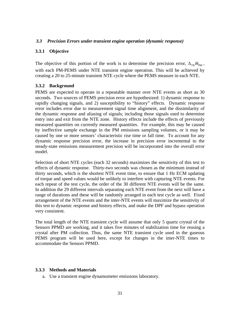## <span id="page-31-0"></span>*3.3 Precision Errors under transient engine operation (dynamic response)*

### <span id="page-31-1"></span>**3.3.1 Objective**

The objective of this portion of the work is to determine the precision error,  $\Delta_{TR} \overline{m}_{PM}$ , with each PM-PEMS under NTE transient engine operation. This will be achieved by creating a 20 to 25-minute transient NTE cycle where the PEMS measure in each NTE.

### <span id="page-31-2"></span>**3.3.2 Background**

PEMS are expected to operate in a repeatable manner over NTE events as short as 30 seconds. Two sources of PEMS precision error are hypothesized: 1) dynamic response to rapidly changing signals, and 2) susceptibility to "history" effects. Dynamic response error includes error due to measurement signal time alignment, and the dissimilarity of the dynamic response and aliasing of signals; including those signals used to determine entry into and exit from the NTE zone. History effects include the effects of previously measured quantities on currently measured quantities. For example, this may be caused by ineffective sample exchange in the PM emissions sampling volumes, or it may be caused by one or more sensors' characteristic rise time or fall time. To account for any dynamic response precision error, the increase in precision error incremental to the steady-state emissions measurement precision will be incorporated into the overall error model.

Selection of short NTE cycles (each 32 seconds) maximizes the sensitivity of this test to effects of dynamic response. Thirty-two seconds was chosen as the minimum instead of thirty seconds, which is the shortest NTE event time, to ensure that 1 Hz ECM updating of torque and speed values would be unlikely to interfere with capturing NTE events. For each repeat of the test cycle, the order of the 30 different NTE events will be the same. In addition the 29 different intervals separating each NTE event from the next will have a range of durations and these will be randomly arranged in each test cycle as well. Fixed arrangement of the NTE events and the inter-NTE events will maximize the sensitivity of this test to dynamic response and history effects, and make the DPF and bypass operation very consistent.

The total length of the NTE transient cycle will assume that only 5 quartz crystal of the Sensors PPMD are working, and it takes five minutes of stabilization time for reusing a crystal after PM collection. Thus, the same NTE transient cycle used in the gaseous PEMS program will be used here, except for changes in the inter-NTE times to accommodate the Sensors PPMD.

#### <span id="page-31-3"></span>**3.3.3 Methods and Materials**

a. Use a transient engine dynamometer emissions laboratory.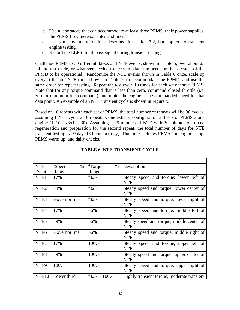- b. Use a laboratory that can accommodate at least three PEMS, their power supplies, the PEMS flow meters, cables and lines.
- c. Use same overall guidelines described in section 3.2, but applied to transient engine testing.
- d. Record the EEPS' total mass signal during transient testing.

Challenge PEMS to 30 different 32-second NTE events, shown in Table 5, over about 23 minute test cycle, or whatever needed to accommodate the need for five crystals of the PPMD to be operational. Randomize the NTE events shown in Table 6 once, scale up every fifth inter-NTE time, shown in Table 7, to accommodate the PPMD, and use the same order for repeat testing. Repeat the test cycle 10 times for each set of three PEMS. Note that for any torque command that is less than zero, command closed throttle (i.e. zero or minimum fuel command), and motor the engine at the commanded speed for that data point. An example of an NTE transient cycle is shown in Figure 9.

Based on 10 repeats with each set of PEMS, the total number of repeats will be 30 cycles, assuming 1 NTE cycle x 10 repeats x one exhaust configuration x 3 sets of PEMS x one engine  $(1x10x1x3x1 = 30)$ . Assuming a 25 minutes of NTE with 30 minutes of forced regeneration and preparation for the second repeat, the total number of days for NTE transient testing is 10 days (8 hours per day). This time includes PEMS and engine setup, PEMS warm up, and daily checks.

<span id="page-32-0"></span>

| <b>NTE</b>       | <sup>1</sup> Speed<br>$\%$ | $2$ Torque<br>$\%$ | Description                                 |
|------------------|----------------------------|--------------------|---------------------------------------------|
| Event            | Range                      | Range              |                                             |
| NTE <sub>1</sub> | 17%                        | $332\%$            | Steady speed and torque; lower left of      |
|                  |                            |                    | <b>NTE</b>                                  |
| NTE <sub>2</sub> | 59%                        | $32\%$             | Steady speed and torque; lower center of    |
|                  |                            |                    | <b>NTE</b>                                  |
| NTE <sub>3</sub> | Governor line              | $332\%$            | Steady speed and torque; lower right of     |
|                  |                            |                    | <b>NTE</b>                                  |
| NTE <sub>4</sub> | 17%                        | 66%                | Steady speed and torque; middle left of     |
|                  |                            |                    | <b>NTE</b>                                  |
| NTE <sub>5</sub> | 59%                        | 66%                | Steady speed and torque; middle center of   |
|                  |                            |                    | <b>NTE</b>                                  |
| NTE <sub>6</sub> | Governor line              | 66%                | Steady speed and torque; middle right of    |
|                  |                            |                    | <b>NTE</b>                                  |
| NTE7             | 17%                        | 100%               | Steady speed and torque; upper left of      |
|                  |                            |                    | <b>NTE</b>                                  |
| NTE <sub>8</sub> | 59%                        | 100%               | Steady speed and torque; upper center of    |
|                  |                            |                    | <b>NTE</b>                                  |
| NTE <sub>9</sub> | 100%                       | 100%               | Steady speed and torque; upper right of     |
|                  |                            |                    | <b>NTE</b>                                  |
| <b>NTE10</b>     | Lower third                | $32\% - 100\%$     | Highly transient torque; moderate transient |

### **TABLE 6. NTE TRANSIENT CYCLE**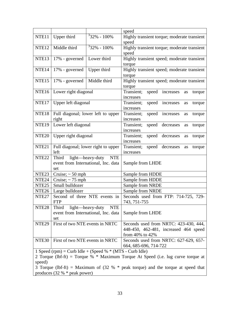|                                                                                                                                                  |                                                                                    |                                | speed                                            |  |  |
|--------------------------------------------------------------------------------------------------------------------------------------------------|------------------------------------------------------------------------------------|--------------------------------|--------------------------------------------------|--|--|
| NTE11                                                                                                                                            | Upper third                                                                        | $\frac{3}{3}2\% - 100\%$       | Highly transient torque; moderate transient      |  |  |
|                                                                                                                                                  |                                                                                    |                                | speed                                            |  |  |
| NTE <sub>12</sub>                                                                                                                                | Middle third                                                                       | $332\% - 100\%$                | Highly transient torque; moderate transient      |  |  |
|                                                                                                                                                  |                                                                                    |                                | speed                                            |  |  |
| NTE <sub>13</sub>                                                                                                                                | 17% - governed                                                                     | Lower third                    | Highly transient speed; moderate transient       |  |  |
|                                                                                                                                                  |                                                                                    |                                | torque                                           |  |  |
| NTE <sub>14</sub>                                                                                                                                | 17% - governed                                                                     | Upper third                    | Highly transient speed; moderate transient       |  |  |
|                                                                                                                                                  |                                                                                    |                                | torque                                           |  |  |
| NTE <sub>15</sub>                                                                                                                                | 17% - governed                                                                     | Middle third                   | Highly transient speed; moderate transient       |  |  |
|                                                                                                                                                  |                                                                                    |                                | torque                                           |  |  |
| NTE <sub>16</sub>                                                                                                                                | Lower right diagonal                                                               |                                | Transient;<br>speed increases<br>torque<br>as    |  |  |
|                                                                                                                                                  |                                                                                    |                                | increases                                        |  |  |
| NTE <sub>17</sub>                                                                                                                                | Upper left diagonal                                                                |                                | Transient;<br>speed increases<br>torque<br>as    |  |  |
|                                                                                                                                                  |                                                                                    |                                | increases                                        |  |  |
| NTE <sub>18</sub>                                                                                                                                | Full diagonal; lower left to upper                                                 |                                | Transient;<br>speed<br>increases<br>torque<br>as |  |  |
|                                                                                                                                                  | right                                                                              |                                | increases                                        |  |  |
| NTE <sub>19</sub>                                                                                                                                | Lower left diagonal                                                                |                                | speed decreases<br>Transient;<br>torque<br>as    |  |  |
|                                                                                                                                                  |                                                                                    |                                | increases                                        |  |  |
| NTE <sub>20</sub>                                                                                                                                | Upper right diagonal                                                               |                                | Transient;<br>speed decreases<br>torque<br>as    |  |  |
|                                                                                                                                                  |                                                                                    |                                | increases                                        |  |  |
| NTE <sub>21</sub>                                                                                                                                | Full diagonal; lower right to upper                                                |                                | speed decreases<br>Transient;<br>torque<br>as    |  |  |
|                                                                                                                                                  | left                                                                               |                                | increases                                        |  |  |
| NTE <sub>22</sub>                                                                                                                                | Third                                                                              | light—heavy-duty<br><b>NTE</b> |                                                  |  |  |
|                                                                                                                                                  | event from International, Inc. data                                                |                                | Sample from LHDE                                 |  |  |
|                                                                                                                                                  | set                                                                                |                                |                                                  |  |  |
| NTE <sub>23</sub>                                                                                                                                | Cruise; $\sim$ 50 mph                                                              |                                | Sample from HDDE                                 |  |  |
| NTE <sub>24</sub>                                                                                                                                | Cruise; $\sim$ 75 mph                                                              |                                | Sample from HDDE                                 |  |  |
| NTE <sub>25</sub>                                                                                                                                | Small bulldozer                                                                    |                                | Sample from NRDE                                 |  |  |
| NTE <sub>26</sub>                                                                                                                                | Large bulldozer                                                                    |                                | Sample from NRDE                                 |  |  |
| NTE <sub>27</sub>                                                                                                                                | Second of three NTE events in                                                      |                                | Seconds used from FTP: 714-725, 729-             |  |  |
|                                                                                                                                                  | <b>FTP</b>                                                                         |                                | 743, 751-755                                     |  |  |
| NTE <sub>28</sub>                                                                                                                                | Third                                                                              | light—heavy-duty NTE           |                                                  |  |  |
|                                                                                                                                                  | event from International, Inc. data                                                |                                | Sample from LHDE                                 |  |  |
|                                                                                                                                                  | set                                                                                |                                |                                                  |  |  |
| NTE <sub>29</sub>                                                                                                                                | First of two NTE events in NRTC                                                    |                                | Seconds used from NRTC: 423-430, 444,            |  |  |
|                                                                                                                                                  |                                                                                    |                                | 448-450, 462-481, increased 464 speed            |  |  |
|                                                                                                                                                  |                                                                                    |                                | from 40% to 42%                                  |  |  |
| NTE <sub>30</sub>                                                                                                                                | First of two NTE events in NRTC                                                    |                                | Seconds used from NRTC: 627-629, 657-            |  |  |
| 664, 685-696, 714-722                                                                                                                            |                                                                                    |                                |                                                  |  |  |
| 1 Speed (rpm) = Curb Idle + (Speed % $*$ (MTS - Curb Idle)<br>2 Torque (lbf-ft) = Torque % $*$ Maximum Torque At Speed (i.e. lug curve torque at |                                                                                    |                                |                                                  |  |  |
|                                                                                                                                                  |                                                                                    |                                |                                                  |  |  |
| speed)                                                                                                                                           |                                                                                    |                                |                                                  |  |  |
|                                                                                                                                                  | 3 Torque (lbf-ft) = Maximum of (32 % $*$ peak torque) and the torque at speed that |                                |                                                  |  |  |
|                                                                                                                                                  | produces $(32 % * peak power)$                                                     |                                |                                                  |  |  |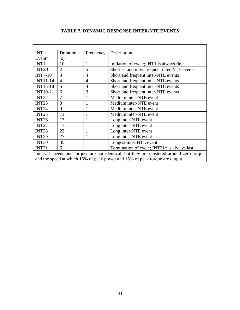<span id="page-34-0"></span>

| <b>INT</b>                                                                               | Duration       | Frequency                                   | Description                                 |  |
|------------------------------------------------------------------------------------------|----------------|---------------------------------------------|---------------------------------------------|--|
| Event <sup>1</sup>                                                                       | (s)            |                                             |                                             |  |
| INT1                                                                                     | 10             | 1                                           | Initiation of cycle; INT1 is always first   |  |
| $INT2-6$                                                                                 | $\overline{2}$ | 5                                           | Shortest and most frequent inter-NTE events |  |
| <b>INT7-10</b>                                                                           | 3              | $\overline{4}$                              | Short and frequent inter-NTE events         |  |
| <b>INT11-14</b>                                                                          | $\overline{4}$ | 4                                           | Short and frequent inter-NTE events         |  |
| <b>INT15-18</b>                                                                          | 5              | $\overline{4}$                              | Short and frequent inter-NTE events         |  |
| <b>INT19-21</b>                                                                          | 6              | 3                                           | Short and frequent inter-NTE events         |  |
| INT <sub>22</sub>                                                                        | 7              |                                             | Medium inter-NTE event                      |  |
| INT <sub>23</sub>                                                                        | 8              |                                             | Medium inter-NTE event                      |  |
| INT <sub>24</sub>                                                                        | 9              |                                             | Medium inter-NTE event                      |  |
| INT <sub>25</sub>                                                                        | 11             | 1                                           | Medium inter-NTE event                      |  |
| INT <sub>26</sub>                                                                        | 13             | 1                                           | Long inter-NTE event                        |  |
| INT <sub>27</sub>                                                                        | 17             | 1                                           | Long inter-NTE event                        |  |
| INT <sub>28</sub>                                                                        | 22             | 1                                           | Long inter-NTE event                        |  |
| INT <sub>29</sub>                                                                        | 27             |                                             | Long inter-NTE event                        |  |
| INT30                                                                                    | 35             | 1                                           | Longest inter-NTE event                     |  |
| 5<br>INT31                                                                               |                | Termination of cycle; INT31* is always last |                                             |  |
| Interval speeds and torques are not identical, but they are clustered around zero torque |                |                                             |                                             |  |
| and the speed at which 15% of peak power and 15% of peak torque are output.              |                |                                             |                                             |  |

# **TABLE 7. DYNAMIC RESPONSE INTER-NTE EVENTS**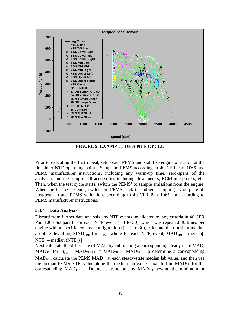

**FIGURE 9. EXAMPLE OF A NTE CYCLE** 

<span id="page-35-1"></span>Prior to executing the first repeat, setup each PEMS and stabilize engine operation at the first inter-NTE operating point. Setup the PEMS according to 40 CFR Part 1065 and PEMS manufacturer instructions, including any warm-up time, zero-spans of the analyzers and the setup of all accessories including flow meters, ECM interpreters, etc. Then, when the test cycle starts, switch the PEMS' to sample emissions from the engine. When the text cycle ends, switch the PEMS back to ambient sampling. Complete all post-test lab and PEMS validations according to 40 CFR Part 1065 and according to PEMS manufacturer instructions.

# <span id="page-35-0"></span>**3.3.4 Data Analysis**

Discard from further data analysis any NTE events invalidated by any criteria in 40 CFR Part 1065 Subpart J. For each NTE<sub>i</sub> event ( $i=1$  to 30), which was repeated 30 times per engine with a specific exhaust configuration  $(j = 1 \text{ to } 30)$ , calculate the transient median absolute deviation, MAD<sub>TRi</sub>, for  $\bar{m}_{PM}$ , where for each NTE<sub>i</sub> event, MAD<sub>TRi</sub> = median<sup>[]</sup>  $NTE_{ii}$  – median (NTE<sub>ii</sub>) | ].

Next calculate the difference of MAD by subtracting a corresponding steady-state MAD, MAD<sub>SSi</sub> for  $\bar{m}_{PM}$ . MAD<sub>TRi-SSi</sub> = MAD<sub>TRi</sub> – MAD<sub>SSi</sub>. To determine a corresponding  $\text{MAD}_{\text{SSI}}$ , calculate the PEMS  $\text{MAD}_{\text{SS}}$  at each steady-state median lab value, and then use the median PEMS NTE<sub>i</sub> value along the median lab value's axis to find  $MAD<sub>SSI</sub>$  for the corresponding  $MAD_{TRi}$ . Do not extrapolate any  $MAD_{SSi}$  beyond the minimum or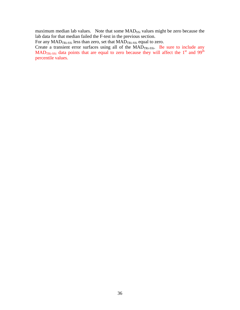maximum median lab values. Note that some MAD<sub>SSi</sub> values might be zero because the lab data for that median failed the F-test in the previous section.

For any  $\text{MAD}_{\text{TRi-SSi}}$  less than zero, set that  $\text{MAD}_{\text{TRi-SSi}}$  equal to zero.

Create a transient error surfaces using all of the  $MAD_{TRi-SSi}$ . Be sure to include any  $MAD_{TRi-SSi}$  data points that are equal to zero because they will affect the 1<sup>st</sup> and 99<sup>th</sup> percentile values.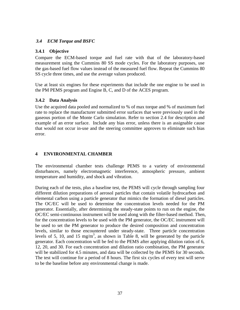# <span id="page-37-0"></span>*3.4 ECM Torque and BSFC*

### <span id="page-37-1"></span>**3.4.1 Objective**

Compare the ECM-based torque and fuel rate with that of the laboratory-based measurement using the Cummins 80 SS mode cycles. For the laboratory purposes, use the gas-based fuel flow values instead of the measured fuel flow. Repeat the Cummins 80 SS cycle three times, and use the average values produced.

Use at least six engines for these experiments that include the one engine to be used in the PM PEMS program and Engine B, C, and D of the ACES program.

### <span id="page-37-2"></span>**3.4.2 Data Analysis**

Use the acquired data pooled and normalized to % of max torque and % of maximum fuel rate to replace the manufacturer submitted error surfaces that were previously used in the gaseous portion of the Monte Carlo simulation. Refer to section 2.4 for description and example of an error surface. Include any bias error, unless there is an assignable cause that would not occur in-use and the steering committee approves to eliminate such bias error.

# <span id="page-37-3"></span>**4 ENVIRONMENTAL CHAMBER**

The environmental chamber tests challenge PEMS to a variety of environmental disturbances, namely electromagnetic interference, atmospheric pressure, ambient temperature and humidity, and shock and vibration.

During each of the tests, plus a baseline test, the PEMS will cycle through sampling four different dilution preparations of aerosol particles that contain volatile hydrocarbon and elemental carbon using a particle generator that mimics the formation of diesel particles. The OC/EC will be used to determine the concentration levels needed for the PM generator. Essentially, after determining the steady-state points to run on the engine, the OC/EC semi-continuous instrument will be used along with the filter-based method. Then, for the concentration levels to be used with the PM generator, the OC/EC instrument will be used to set the PM generator to produce the desired composition and concentration levels, similar to those encountered under steady-state. Three particle concentration levels of 5, 10, and 15 mg/m<sup>3</sup>, as shown in Table 8, will be generated by the particle generator. Each concentration will be fed to the PEMS after applying dilution ratios of 6, 12, 20, and 30. For each concentration and dilution ratio combination, the PM generator will be stabilized for 4.5 minutes, and data will be collected by the PEMS for 30 seconds. The test will continue for a period of 8 hours. The first six cycles of every test will serve to be the baseline before any environmental change is made.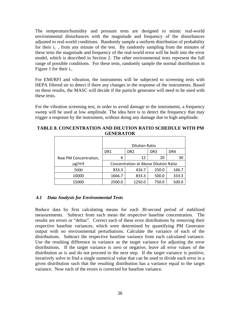The temperature/humidity and pressure tests are designed to mimic real-world environmental disturbances with the magnitude and frequency of the disturbances adjusted to real-world conditions. Randomly sample a uniform distribution of probability for their  $i_c$ , from any minute of the test. By randomly sampling from the minutes of these tests the magnitude and frequency of the real-world error will be built into the error model, which is described in Section 2. The other environmental tests represent the full range of possible conditions. For these tests, randomly sample the normal distribution in Figure 1 for their  $i_c$ .

For EMI/RFI and vibration, the instruments will be subjected to screening tests with HEPA filtered air to detect if there any changes in the response of the instruments. Based on these results, the MASC will decide if the particle generator will need to be used with these tests.

For the vibration screening test, in order to avoid damage to the instruments, a frequency sweep will be used at low amplitude. The idea here is to detect the frequency that may trigger a response by the instrument, without doing any damage due to high amplitude.

<span id="page-38-1"></span>

| <b>TABLE 8. CONCENTRATION AND DILUTION RATIO SCHEDULE WITH PM</b> |
|-------------------------------------------------------------------|
| <b>GENERATOR</b>                                                  |

|                       | <b>Dilution Ratio</b>                        |                 |       |       |  |  |  |  |  |  |
|-----------------------|----------------------------------------------|-----------------|-------|-------|--|--|--|--|--|--|
|                       | DR <sub>2</sub>                              | DR <sub>3</sub> | DR4   |       |  |  |  |  |  |  |
| Raw PM Concentration, | 6                                            | 12              | 20    | 30    |  |  |  |  |  |  |
| $\mu$ g/m3            | <b>Concentration at Above Dilution Ratio</b> |                 |       |       |  |  |  |  |  |  |
| 5000                  | 833.3                                        | 416.7           | 250.0 | 166.7 |  |  |  |  |  |  |
| 10000                 | 1666.7                                       | 833.3           | 500.0 | 333.3 |  |  |  |  |  |  |
| 15000                 | 2500.0                                       | 1250.0          | 750.0 | 500.0 |  |  |  |  |  |  |

# <span id="page-38-0"></span>*4.1 Data Analysis for Environmental Tests*

distributions. Subtract the respective baseline variance from each calculated variance. Reduce data by first calculating means for each 30-second period of stabilized measurements. Subtract from each mean the respective baseline concentration. The results are errors or "deltas". Correct each of these error distributions by removing their respective baseline variances, which were determined by quantifying PM Generator output with no environmental perturbations. Calculate the variance of each of the Use the resulting difference in variance as the target variance for adjusting the error distributions. If the target variance is zero or negative, leave all error values of the distribution as is and do not proceed to the next step. If the target variance is positive, iteratively solve to find a single numerical value that can be used to divide each error in a given distribution such that the resulting distribution has a variance equal to the target variance. Now each of the errors is corrected for baseline variance.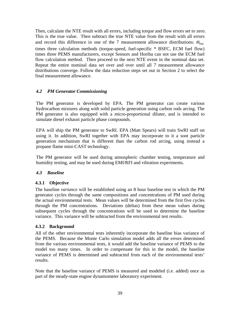flow calculation method. Then proceed to the next NTE event in the nominal data set. Then, calculate the NTE result with all errors, including torque and flow errors set to zero. This is the true value. Then subtract the true NTE value from the result with all errors and record this difference in one of the 7 measurement allowance distributions:  $\bar{m}_{\text{pM}}$ times three calculation methods (torque-speed, fuel-specific \* BSFC, ECM fuel flow) times three PEMS manufacturers, except Sensors and Horiba can not use the ECM fuel Repeat the entire nominal data set over and over until all 7 measurement allowance distributions converge. Follow the data reduction steps set out in Section 2 to select the final measurement allowance.

# <span id="page-39-0"></span>*4.2 PM Generator Commissioning*

The PM generator is developed by EPA. The PM generator can create various hydrocarbon mixtures along with solid particle generation using carbon rods arcing. The PM generator is also equipped with a micro-proportional diluter, and is intended to simulate diesel exhaust particle phase compounds.

EPA will ship the PM generator to SwRI. EPA (Matt Spears) will train SwRI staff on using it. In addition, SwRI together with EPA may incorporate to it a soot particle generation mechanism that is different than the carbon rod arcing, using instead a propane flame mini-CAST technology.

The PM generator will be used during atmospheric chamber testing, temperature and humidity testing, and may be used during EMI/RFI and vibration experiments.

# <span id="page-39-1"></span>*4.3 Baseline*

# <span id="page-39-2"></span>**4.3.1 Objective**

The baseline *variance* will be established using an 8 hour baseline test in which the PM generator cycles through the same compositions and concentrations of PM used during the actual environmental tests. Mean values will be determined from the first five cycles through the PM concentrations. Deviations (deltas) from these mean values during subsequent cycles through the concentrations will be used to determine the baseline variance. This variance will be subtracted from the environmental test results.

# <span id="page-39-3"></span>**4.3.2 Background**

All of the other environmental tests inherently incorporate the baseline bias variance of the PEMS. Because the Monte Carlo simulation model adds all the errors determined from the various environmental tests, it would add the baseline variance of PEMS to the model too many times. In order to compensate for this in the model, the baseline variance of PEMS is determined and subtracted from each of the environmental tests' results.

Note that the baseline variance of PEMS is measured and modeled (i.e. added) once as part of the steady-state engine dynamometer laboratory experiment.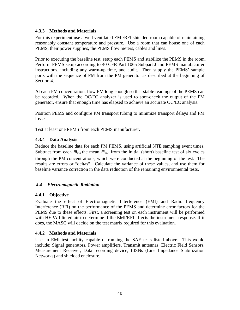# <span id="page-40-0"></span>**4.3.3 Methods and Materials**

For this experiment use a well ventilated EMI/RFI shielded room capable of maintaining reasonably constant temperature and pressure. Use a room that can house one of each PEMS, their power supplies, the PEMS flow meters, cables and lines.

Prior to executing the baseline test, setup each PEMS and stabilize the PEMS in the room. Perform PEMS setup according to 40 CFR Part 1065 Subpart J and PEMS manufacturer instructions, including any warm-up time, and audit. Then supply the PEMS' sample ports with the sequence of PM from the PM generator as described at the beginning of Section 4.

At each PM concentration, flow PM long enough so that stable readings of the PEMS can be recorded. When the OC/EC analyzer is used to spot-check the output of the PM generator, ensure that enough time has elapsed to achieve an accurate OC/EC analysis.

Position PEMS and configure PM transport tubing to minimize transport delays and PM losses.

Test at least one PEMS from each PEMS manufacturer.

# <span id="page-40-1"></span>**4.3.4 Data Analysis**

Reduce the baseline data for each PM PEMS, using artificial NTE sampling event times. Subtract from each  $\bar{m}_{PM}$  the mean  $\bar{m}_{PM}$  from the initial (short) baseline test of six cycles through the PM concentrations, which were conducted at the beginning of the test. The results are errors or "deltas". Calculate the variance of these values, and use them for baseline variance correction in the data reduction of the remaining environmental tests.

# <span id="page-40-2"></span>*4.4 Electromagnetic Radiation*

# <span id="page-40-3"></span>**4.4.1 Objective**

Evaluate the effect of Electromagnetic Interference (EMI) and Radio frequency Interference (RFI) on the performance of the PEMS and determine error factors for the PEMS due to these effects. First, a screening test on each instrument will be performed with HEPA filtered air to determine if the EMI/RFI affects the instrument response. If it does, the MASC will decide on the test matrix required for this evaluation.

# <span id="page-40-4"></span>**4.4.2 Methods and Materials**

Use an EMI test facility capable of running the SAE tests listed above. This would include: Signal generators, Power amplifiers, Transmit antennas, Electric Field Sensors, Measurement Receiver, Data recording device, LISNs (Line Impedance Stabilization Networks) and shielded enclosure.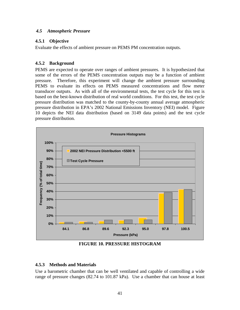## <span id="page-41-0"></span>*4.5 Atmospheric Pressure*

# <span id="page-41-1"></span>**4.5.1 Objective**

Evaluate the effects of ambient pressure on PEMS PM concentration outputs.

# <span id="page-41-2"></span>**4.5.2 Background**

PEMS are expected to operate over ranges of ambient pressures. It is hypothesized that some of the errors of the PEMS concentration outputs may be a function of ambient pressure. Therefore, this experiment will change the ambient pressure surrounding PEMS to evaluate its effects on PEMS measured concentrations and flow meter transducer outputs. As with all of the environmental tests, the test cycle for this test is based on the best-known distribution of real world conditions. For this test, the test cycle pressure distribution was matched to the county-by-county annual average atmospheric pressure distribution in EPA's 2002 National Emissions Inventory (NEI) model. Figure 10 depicts the NEI data distribution (based on 3149 data points) and the test cycle pressure distribution.



**FIGURE 10. PRESSURE HISTOGRAM** 

# <span id="page-41-4"></span><span id="page-41-3"></span>**4.5.3 Methods and Materials**

Use a barometric chamber that can be well ventilated and capable of controlling a wide range of pressure changes (82.74 to 101.87 kPa). Use a chamber that can house at least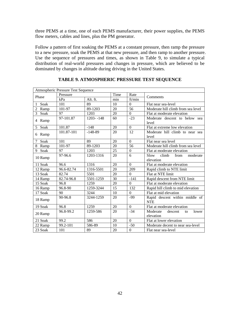three PEMS at a time, one of each PEMS manufacturer, their power supplies, the PEMS flow meters, cables and lines, plus the PM generator.

Follow a pattern of first soaking the PEMS at a constant pressure, then ramp the pressure to a new pressure, soak the PEMS at that new pressure, and then ramp to another pressure. Use the sequence of pressures and times, as shown in Table 9, to simulate a typical distribution of real-world pressures and changes in pressure, which are believed to be dominated by changes in altitude during driving in the United States.

<span id="page-42-0"></span>

|           | Atmospheric Pressure Test Sequence |                           |      |                |                                                 |  |  |  |  |  |
|-----------|------------------------------------|---------------------------|------|----------------|-------------------------------------------------|--|--|--|--|--|
|           | Pressure                           |                           | Time | Rate           |                                                 |  |  |  |  |  |
| Phase     | kPa                                | min<br>ft/min<br>Alt. ft. |      |                | Comments                                        |  |  |  |  |  |
| Soak      | 101                                | 89                        | 10   | $\overline{0}$ | Flat near sea-level                             |  |  |  |  |  |
| 2<br>Ramp | 101-97                             | 89-1203                   | 20   | 56             | Moderate hill climb from sea level              |  |  |  |  |  |
| 3<br>Soak | 97                                 | 1203                      | 20   | $\Omega$       | Flat at moderate elevation                      |  |  |  |  |  |
| 4 Ramp    | 97-101.87                          | $1203 - 148$              | 60   | $-23$          | Moderate descent to below sea<br>level          |  |  |  |  |  |
| Soak<br>5 | 101.87                             | $-148$                    | 20   | $\overline{0}$ | Flat at extreme low elevation                   |  |  |  |  |  |
| Ramp<br>6 | 101.87-101                         | $-148-89$                 | 20   | 12             | Moderate hill climb to near sea<br>level        |  |  |  |  |  |
| Soak<br>7 | 101                                | 89                        | 20   | $\Omega$       | Flat near sea level                             |  |  |  |  |  |
| 8<br>Ramp | 101-97                             | 89-1203                   | 20   | 56             | Moderate hill climb from sea level              |  |  |  |  |  |
| 9<br>Soak | 97                                 | 1203                      | 25   | $\overline{0}$ | Flat at moderate elevation                      |  |  |  |  |  |
| 10 Ramp   | 97-96.6                            | 1203-1316                 | 20   | 6              | climb<br>from<br>Slow<br>moderate<br>elevation  |  |  |  |  |  |
| 11 Soak   | 96.6                               | 1316                      | 20   | $\Omega$       | Flat at moderate elevation                      |  |  |  |  |  |
| 12 Ramp   | 96.6-82.74                         | 1316-5501                 | 20   | 209            | Rapid climb to NTE limit                        |  |  |  |  |  |
| 13 Soak   | 82.74                              | 5501                      | 20   | $\Omega$       | Flat at NTE limit                               |  |  |  |  |  |
| 14 Ramp   | 82.74-96.8                         | 5501-1259                 | 30   | $-141$         | Rapid descent from NTE limit                    |  |  |  |  |  |
| 15 Soak   | 96.8                               | 1259                      | 20   | $\Omega$       | Flat at moderate elevation                      |  |  |  |  |  |
| 16 Ramp   | 96.8-90                            | 1259-3244                 | 15   | 132            | Rapid hill climb to mid elevation               |  |  |  |  |  |
| 17 Soak   | 90                                 | 3244                      | 10   | $\Omega$       | Flat at mid elevation                           |  |  |  |  |  |
| 18 Ramp   | 90-96.8                            | 3244-1259                 | 20   | -99            | Rapid descent within middle of<br><b>NTE</b>    |  |  |  |  |  |
| 19 Soak   | 96.8                               | 1259                      | 20   | $\Omega$       | Flat at moderate elevation                      |  |  |  |  |  |
| 20 Ramp   | 96.8-99.2                          | 1259-586                  | 20   | $-34$          | Moderate<br>descent<br>lower<br>to<br>elevation |  |  |  |  |  |
| 21 Soak   | 99.2                               | 586                       | 20   | $\Omega$       | Flat at lower elevation                         |  |  |  |  |  |
| 22 Ramp   | 99.2-101                           | 586-89                    | 10   | $-50$          | Moderate decent to near sea-level               |  |  |  |  |  |
| 23 Soak   | 101                                | 89                        | 20   | $\overline{0}$ | Flat near sea-level                             |  |  |  |  |  |

**TABLE 9. ATMOSPHERIC PRESSURE TEST SEQUENCE**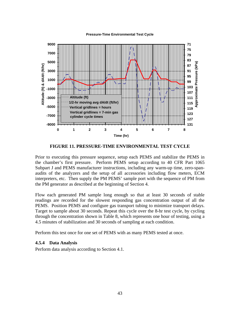**Pressure-Time Environmental Test Cycle** 



**FIGURE 11. PRESSURE-TIME ENVIRONMENTAL TEST CYCLE** 

<span id="page-43-1"></span>Prior to executing this pressure sequence, setup each PEMS and stabilize the PEMS in the chamber's first pressure. Perform PEMS setup according to 40 CFR Part 1065 Subpart J and PEMS manufacturer instructions, including any warm-up time, zero-spanaudits of the analyzers and the setup of all accessories including flow meters, ECM interpreters, etc. Then supply the PM PEMS' sample port with the sequence of PM from the PM generator as described at the beginning of Section 4.

Flow each generated PM sample long enough so that at least 30 seconds of stable readings are recorded for the slowest responding gas concentration output of all the PEMS. Position PEMS and configure gas transport tubing to minimize transport delays. Target to sample about 30 seconds. Repeat this cycle over the 8-hr test cycle, by cycling through the concentration shown in Table 8, which represents one hour of testing, using a 4.5 minutes of stabilization and 30 seconds of sampling at each condition.

Perform this test once for one set of PEMS with as many PEMS tested at once.

#### <span id="page-43-0"></span>**4.5.4 Data Analysis**

Perform data analysis according to Section 4.1.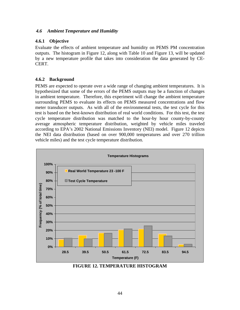## <span id="page-44-0"></span>*4.6 Ambient Temperature and Humidity*

# <span id="page-44-1"></span>**4.6.1 Objective**

Evaluate the effects of ambient temperature and humidity on PEMS PM concentration outputs. The histogram in Figure 12, along with Table 10 and Figure 13, will be updated by a new temperature profile that takes into consideration the data generated by CE-CERT.

# <span id="page-44-2"></span>**4.6.2 Background**

PEMS are expected to operate over a wide range of changing ambient temperatures. It is hypothesized that some of the errors of the PEMS outputs may be a function of changes in ambient temperature. Therefore, this experiment will change the ambient temperature surrounding PEMS to evaluate its effects on PEMS measured concentrations and flow meter transducer outputs. As with all of the environmental tests, the test cycle for this test is based on the best-known distribution of real world conditions. For this test, the test cycle temperature distribution was matched to the hour-by hour county-by-county average atmospheric temperature distribution, weighted by vehicle miles traveled according to EPA's 2002 National Emissions Inventory (NEI) model. Figure 12 depicts the NEI data distribution (based on over 900,000 temperatures and over 270 trillion vehicle miles) and the test cycle temperature distribution.



<span id="page-44-3"></span>**FIGURE 12. TEMPERATURE HISTOGRAM**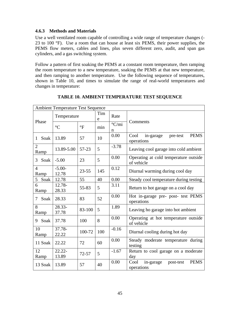### <span id="page-45-0"></span>**4.6.3 Methods and Materials**

Use a well ventilated room capable of controlling a wide range of temperature changes ( 23 to 100 °F). Use a room that can house at least six PEMS, their power supplies, the PEMS flow meters, cables and lines, plus seven different zero, audit, and span gas cylinders, and a gas switching system.

Follow a pattern of first soaking the PEMS at a constant room temperature, then ramping the room temperature to a new temperature, soaking the PEMS at that new temperature, and then ramping to another temperature. Use the following sequence of temperatures, shown in Table 10, and times to simulate the range of real-world temperatures and changes in temperature:

<span id="page-45-1"></span>

|                        | <b>Ambient Temperature Test Sequence</b> |           |          |                               |                                                             |  |  |  |  |  |  |
|------------------------|------------------------------------------|-----------|----------|-------------------------------|-------------------------------------------------------------|--|--|--|--|--|--|
| Phase                  | Temperature                              |           | Tim<br>e | Rate                          |                                                             |  |  |  |  |  |  |
|                        | $\rm ^{\circ}C$                          | $\circ$ F | min      | $\mathrm{C}/\mathrm{mi}$<br>n | Comments                                                    |  |  |  |  |  |  |
| Soak<br>1              | 13.89                                    | 57        | 10       | 0.00                          | <b>PEMS</b><br>Cool<br>in-garage<br>pre-test<br>operations  |  |  |  |  |  |  |
| $\overline{2}$<br>Ramp | 13.89-5.00                               | 57-23     | 5        | $-3.78$                       | Leaving cool garage into cold ambient                       |  |  |  |  |  |  |
| Soak  <br>3            | $-5.00$                                  | 23        | 5        | 0.00                          | Operating at cold temperature outside<br>of vehicle         |  |  |  |  |  |  |
| $\overline{4}$<br>Ramp | $-5.00-$<br>12.78                        | $23 - 55$ | 145      | 0.12                          | Diurnal warming during cool day                             |  |  |  |  |  |  |
| Soak<br>5              | 12.78                                    | 55        | 40       | 0.00                          | Steady cool temperature during testing                      |  |  |  |  |  |  |
| 6<br>Ramp              | 12.78-<br>28.33                          | 55-83     | 5        | 3.11                          | Return to hot garage on a cool day                          |  |  |  |  |  |  |
| Soak<br>7              | 28.33                                    | 83        | 52       | 0.00                          | Hot in-garage pre- post- test PEMS<br>operations            |  |  |  |  |  |  |
| 8<br>Ramp              | 28.33-<br>37.78                          | 83-100    | 5        | 1.89                          | Leaving ho garage into hot ambient                          |  |  |  |  |  |  |
| Soak<br>9              | 37.78                                    | 100       | 8        | 0.00                          | Operating at hot temperature outside<br>of vehicle          |  |  |  |  |  |  |
| 10<br>Ramp             | 37.78-<br>22.22                          | 100-72    | 100      | $-0.16$                       | Diurnal cooling during hot day                              |  |  |  |  |  |  |
| 11 Soak                | 22.22                                    | 72        | 60       | 0.00                          | Steady moderate temperature during<br>testing               |  |  |  |  |  |  |
| 12<br>Ramp             | $22.22 -$<br>13.89                       | $72 - 57$ | 5        | $-1.67$                       | Return to cool garage on a moderate<br>day                  |  |  |  |  |  |  |
| 13 Soak                | 13.89                                    | 57        | 40       | 0.00                          | <b>PEMS</b><br>Cool<br>in-garage<br>post-test<br>operations |  |  |  |  |  |  |

# **TABLE 10. AMBIENT TEMPERATURE TEST SEQUENCE**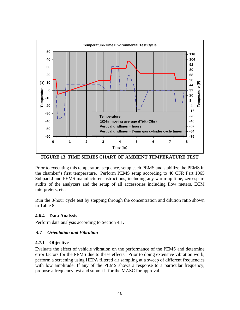

**FIGURE 13. TIME SERIES CHART OF AMBIENT TEMPERATURE TEST** 

<span id="page-46-3"></span>Prior to executing this temperature sequence, setup each PEMS and stabilize the PEMS in the chamber's first temperature. Perform PEMS setup according to 40 CFR Part 1065 Subpart J and PEMS manufacturer instructions, including any warm-up time, zero-spanaudits of the analyzers and the setup of all accessories including flow meters, ECM interpreters, etc.

Run the 8-hour cycle test by stepping through the concentration and dilution ratio shown in Table 8.

# <span id="page-46-0"></span>**4.6.4 Data Analysis**

Perform data analysis according to Section 4.1.

# <span id="page-46-1"></span>*4.7 Orientation and Vibration*

# <span id="page-46-2"></span>**4.7.1 Objective**

Evaluate the effect of vehicle vibration on the performance of the PEMS and determine error factors for the PEMS due to these effects. Prior to doing extensive vibration work, perform a screening using HEPA filtered air sampling at a sweep of different frequencies with low amplitude. If any of the PEMS shows a response to a particular frequency, propose a frequency test and submit it for the MASC for approval.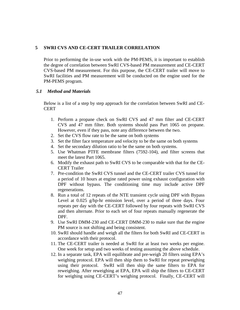#### <span id="page-47-0"></span>**5 SWRI CVS AND CE-CERT TRAILER CORRELATION**

Prior to performing the in-use work with the PM-PEMS, it is important to establish the degree of correlation between SwRI CVS-based PM measurement and CE-CERT CVS-based PM measurement. For this purpose, the CE-CERT trailer will move to SwRI facilities and PM measurement will be conducted on the engine used for the PM-PEMS program.

### <span id="page-47-1"></span>*5.1 Method and Materials*

Below is a list of a step by step approach for the correlation between SwRI and CE-**CERT** 

- 1. Perform a propane check on SwRI CVS and 47 mm filter and CE-CERT CVS and 47 mm filter. Both systems should pass Part 1065 on propane. However, even if they pass, note any difference between the two.
- 2. Set the CVS flow rate to be the same on both systems
- 3. Set the filter face temperature and velocity to be the same on both systems
- 4. Set the secondary dilution ratio to be the same on both systems.
- 5. Use Whatman PTFE membrane filters (7592-104), and filter screens that meet the latest Part 1065.
- 6. Modify the exhaust path to SwRI CVS to be comparable with that for the CE-CERT Trailer
- 7. Pre-condition the SwRI CVS tunnel and the CE-CERT trailer CVS tunnel for a period of 10 hours at engine rated power using exhaust configuration with DPF without bypass. The conditioning time may include active DPF regenerations.
- 8. Run a total of 12 repeats of the NTE transient cycle using DPF with Bypass Level at 0.025 g/hp-hr emission level, over a period of three days. Four repeats per day with the CE-CERT followed by four repeats with SwRI CVS and then alternate. Prior to each set of four repeats manually regenerate the DPF.
- 9. Use SwRI DMM-230 and CE-CERT DMM-230 to make sure that the engine PM source is not shifting and being consistent.
- 10. SwRI should handle and weigh all the filters for both SwRI and CE-CERT in accordance with their protocol.
- 11. The CE-CERT trailer is needed at SwRI for at least two weeks per engine. One week for setup and two weeks of testing assuming the above schedule.
- 12. In a separate task, EPA will equilibrate and pre-weigh 20 filters using EPA's weighing protocol. EPA will then ship them to SwRI for repeat preweighing using their protocol. SwRI will then ship the same filters to EPA for reweighing. After reweighing at EPA, EPA will ship the filters to CE-CERT for weighing using CE-CERT's weighing protocol. Finally, CE-CERT will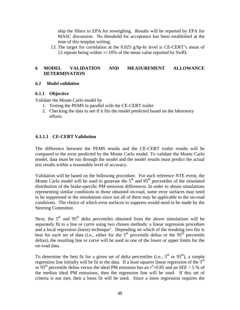ship the filters to EPA for reweighing. Results will be reported by EPA for MASC discussion. No threshold for acceptance has been established at the time of this testplan writing.

13. The target for correlation at the 0.025 g/hp-hr level is CE-CERT's mean of 12 repeats being within +/-10% of the mean value reported by SwRI.

# <span id="page-48-0"></span>**6 MODEL VALIDATION AND MEASUREMENT ALLOWANCE DETERMINATION**

#### <span id="page-48-1"></span>*6.1 Model validation*

#### <span id="page-48-2"></span>**6.1.1 Objective**

Validate the Monte Carlo model by

- 1. Testing the PEMS in parallel with the CE-CERT trailer
- 2. Checking the data to see if it fits the model predicted based on the laboratory efforts

#### **6.1.1.1 CE-CERT Validation**

The difference between the PEMS results and the CE-CERT trailer results will be compared to the error predicted by the Monte Carlo model. To validate the Monte Carlo model, data must be run through the model and the model results must predict the actual test results within a reasonable level of accuracy.

Validation will be based on the following procedure. For each reference NTE event, the Monte Carlo model will be used to generate the  $5<sup>th</sup>$  and  $95<sup>th</sup>$  percentiles of the simulated distribution of the brake-specific PM emission differences. In order to obtain simulations representing similar conditions to those obtained on-road, some error surfaces may need to be suppressed in the simulations since not all of them may be applicable to the on-road conditions. The choice of which error surfaces to suppress would need to be made by the Steering Committee.

Next, the  $5<sup>th</sup>$  and  $95<sup>th</sup>$  delta percentiles obtained from the above simulations will be separately fit to a line or curve using two chosen methods: a linear regression procedure and a local regression (loess) technique<sup>1</sup>. Depending on which of the resulting two fits is  $\frac{d}{dt}$  best for each set of data (i.e., either for the  $5<sup>th</sup>$  percentile deltas or the  $95<sup>th</sup>$  percentile deltas), the resulting line or curve will be used as one of the lower or upper limits for the on-road data.

To determine the best fit for a given set of delta percentiles (i.e.,  $5^{th}$  or  $95^{th}$ ), a simple regression line initially will be fit to the data. If a least squares linear regression of the  $5<sup>th</sup>$ or 95<sup>th</sup> percentile deltas versus the ideal PM emission has an  $r^2$  >0.85 and an *SEE* < 5 % of the median ideal PM emissions, then the regression line will be used. If this set of criteria is not met, then a loess fit will be used. Since a loess regression requires the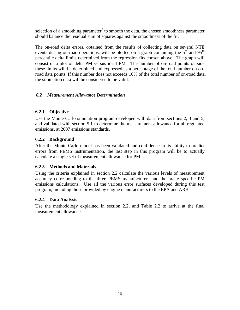selection of a smoothing parameter<sup>2</sup> to smooth the data, the chosen smoothness parameter should balance the residual sum of squares against the smoothness of the fit.

The on-road delta errors, obtained from the results of collecting data on several NTE events during on-road operations, will be plotted on a graph containing the  $5<sup>th</sup>$  and  $95<sup>th</sup>$ percentile delta limits determined from the regression fits chosen above. The graph will consist of a plot of delta PM versus ideal PM. The number of on-road points outside these limits will be determined and expressed as a percentage of the total number on onroad data points. If this number does not exceeds 10% of the total number of on-road data, the simulation data will be considered to be valid.

# <span id="page-49-0"></span>*6.2 Measurement Allowance Determination*

# <span id="page-49-1"></span>**6.2.1 Objective**

Use the Monte Carlo simulation program developed with data from sections 2, 3 and 5, and validated with section 5.1 to determine the measurement allowance for all regulated emissions, at 2007 emissions standards.

# <span id="page-49-2"></span>**6.2.2 Background**

After the Monte Carlo model has been validated and confidence in its ability to predict errors from PEMS instrumentation, the last step in this program will be to actually calculate a single set of measurement allowance for PM.

# <span id="page-49-3"></span>**6.2.3 Methods and Materials**

Using the criteria explained in section 2.2 calculate the various levels of measurement accuracy corresponding to the three PEMS manufacturers and the brake specific PM emissions calculations. Use all the various error surfaces developed during this test program, including those provided by engine manufacturers to the EPA and ARB.

# <span id="page-49-4"></span>**6.2.4 Data Analysis**

Use the methodology explained in section 2.2, and Table 2.2 to arrive at the final measurement allowance.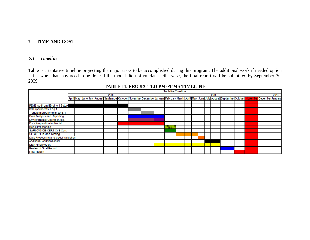# **7 TIME AND COST**

#### *7.1 Timeline*

Table is a tentative timeline projecting the major tasks to be accomplished during this program. The additional work if needed option is the work that may need to be done if the model did not validate. Otherwise, the final report will be submitted by September 30, 2009.

<span id="page-50-1"></span><span id="page-50-0"></span>

|                                      | <b>Tentative Timeline</b> |  |  |  |  |                                                                                                                                    |      |  |  |  |  |  |  |  |  |  |      |  |  |                  |  |
|--------------------------------------|---------------------------|--|--|--|--|------------------------------------------------------------------------------------------------------------------------------------|------|--|--|--|--|--|--|--|--|--|------|--|--|------------------|--|
|                                      | 2008                      |  |  |  |  |                                                                                                                                    | 2009 |  |  |  |  |  |  |  |  |  | 2010 |  |  |                  |  |
|                                      |                           |  |  |  |  | April May June July August September October November December January February March April May June July August September October |      |  |  |  |  |  |  |  |  |  |      |  |  | December January |  |
|                                      |                           |  |  |  |  |                                                                                                                                    |      |  |  |  |  |  |  |  |  |  |      |  |  |                  |  |
| PEMS Audit and Engine 1 Setup        |                           |  |  |  |  |                                                                                                                                    |      |  |  |  |  |  |  |  |  |  |      |  |  |                  |  |
| SS Experiments, Eng.1                |                           |  |  |  |  |                                                                                                                                    |      |  |  |  |  |  |  |  |  |  |      |  |  |                  |  |
| <b>Transient Experiments, Eng. 1</b> |                           |  |  |  |  |                                                                                                                                    |      |  |  |  |  |  |  |  |  |  |      |  |  |                  |  |
| Data Analysis and Reporting          |                           |  |  |  |  |                                                                                                                                    |      |  |  |  |  |  |  |  |  |  |      |  |  |                  |  |
| Environmental Chamber, etc           |                           |  |  |  |  |                                                                                                                                    |      |  |  |  |  |  |  |  |  |  |      |  |  |                  |  |
| <b>Data Preparation for Model</b>    |                           |  |  |  |  |                                                                                                                                    |      |  |  |  |  |  |  |  |  |  |      |  |  |                  |  |
| <b>Model Processing</b>              |                           |  |  |  |  |                                                                                                                                    |      |  |  |  |  |  |  |  |  |  |      |  |  |                  |  |
| SwRI CVS/CE-CERT CVS Corr.           |                           |  |  |  |  |                                                                                                                                    |      |  |  |  |  |  |  |  |  |  |      |  |  |                  |  |
| <b>CE-CERT In-Use Testing</b>        |                           |  |  |  |  |                                                                                                                                    |      |  |  |  |  |  |  |  |  |  |      |  |  |                  |  |
| Data Processing and Model Validation |                           |  |  |  |  |                                                                                                                                    |      |  |  |  |  |  |  |  |  |  |      |  |  |                  |  |
| Additional work if needed            |                           |  |  |  |  |                                                                                                                                    |      |  |  |  |  |  |  |  |  |  |      |  |  |                  |  |
| <b>Draft Final Report</b>            |                           |  |  |  |  |                                                                                                                                    |      |  |  |  |  |  |  |  |  |  |      |  |  |                  |  |
| <b>Review of Final Report</b>        |                           |  |  |  |  |                                                                                                                                    |      |  |  |  |  |  |  |  |  |  |      |  |  |                  |  |
| <b>Final Report</b>                  |                           |  |  |  |  |                                                                                                                                    |      |  |  |  |  |  |  |  |  |  |      |  |  |                  |  |

# <span id="page-50-2"></span>**TABLE 11. PROJECTED PM-PEMS TIMELINE**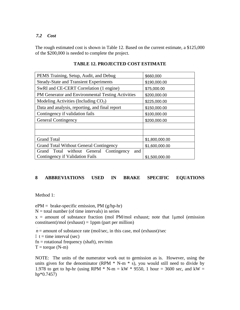# <span id="page-51-0"></span>*7.2 Cost*

The rough estimated cost is shown in Table 12. Based on the current estimate, a \$125,000 of the \$200,000 is needed to complete the project.

<span id="page-51-2"></span>

| PEMS Training, Setup, Audit, and Debug            | \$660,000      |  |  |  |  |  |
|---------------------------------------------------|----------------|--|--|--|--|--|
| <b>Steady-State and Transient Experiments</b>     | \$190,000.00   |  |  |  |  |  |
| SwRI and CE-CERT Correlation (1 engine)           | \$75,000.00    |  |  |  |  |  |
| PM Generator and Environmental Testing Activities | \$200,000.00   |  |  |  |  |  |
| Modeling Activities (Including $CO2$ )            | \$225,000.00   |  |  |  |  |  |
| Data and analysis, reporting, and final report    | \$150,000.00   |  |  |  |  |  |
| Contingency if validation fails                   | \$100,000.00   |  |  |  |  |  |
| <b>General Contingency</b>                        | \$200,000.00   |  |  |  |  |  |
|                                                   |                |  |  |  |  |  |
|                                                   |                |  |  |  |  |  |
| <b>Grand Total</b>                                | \$1,800,000.00 |  |  |  |  |  |
| <b>Grand Total Without General Contingency</b>    | \$1,600,000.00 |  |  |  |  |  |
| Grand Total without General<br>Contingency<br>and |                |  |  |  |  |  |
| Contingency if Validation Fails                   | \$1,500,000.00 |  |  |  |  |  |

# **TABLE 12. PROJECTED COST ESTIMATE**

#### <span id="page-51-1"></span>**EQUATIONS** 8 ABBREVIATIONS USED IN BRAKE SPECIFIC

Method 1:

 $ePM =$  brake-specific emission, PM (g/hp-hr)

 $N =$  total number (of time intervals) in series

 $x =$  amount of substance fraction (mol PM/mol exhaust; note that 1 µmol (emission  $constant$ /mol (exhaust) = 1ppm (part per million)

 $n =$  amount of substance rate (mol/sec, in this case, mol (exhaust)/sec .

 $t =$  time interval (sec)

 $fn = rotational frequency (shaft), rev/min$ 

 $T =$  torque  $(N-m)$ 

NOTE: The units of the numerator work out to gemission as is. However, using the units given for the denominator (RPM  $*$  N-m  $*$  s), you would still need to divide by 1.978 to get to hp-hr (using RPM  $*$  N-m = kW  $*$  9550, 1 hour = 3600 sec, and kW = hp\*0.7457)